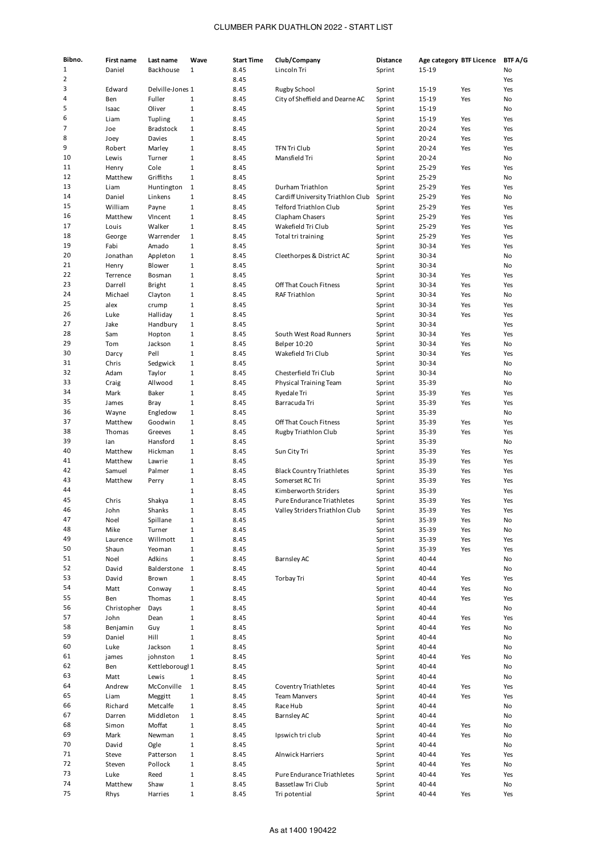| Bibno.   | First name       | Last name                   | Wave                         | <b>Start Time</b> | Club/Company                      | <b>Distance</b>  | Age category BTF Licence |            | BTF A/G   |
|----------|------------------|-----------------------------|------------------------------|-------------------|-----------------------------------|------------------|--------------------------|------------|-----------|
| 1        | Daniel           | Backhouse                   | $\mathbf{1}$                 | 8.45              | Lincoln Tri                       | Sprint           | 15-19                    |            | No        |
| 2        |                  |                             |                              | 8.45              |                                   |                  |                          |            | Yes       |
| 3        | Edward           | Delville-Jones 1            |                              | 8.45              | Rugby School                      | Sprint           | 15-19                    | Yes        | Yes       |
| 4        | Ben              | Fuller                      | $\mathbf{1}$                 | 8.45              | City of Sheffield and Dearne AC   | Sprint           | 15-19                    | Yes        | No        |
| 5        | Isaac            | Oliver                      | $\mathbf{1}$                 | 8.45              |                                   | Sprint           | 15-19                    |            | No        |
| 6        | Liam             | Tupling                     | $\mathbf{1}$                 | 8.45              |                                   | Sprint           | 15-19                    | Yes        | Yes       |
| 7        | Joe              | <b>Bradstock</b>            | $\mathbf{1}$                 | 8.45              |                                   | Sprint           | 20-24                    | Yes        | Yes       |
| 8        | Joey             | Davies                      | $\mathbf{1}$                 | 8.45              |                                   | Sprint           | 20-24                    | Yes        | Yes       |
| 9<br>10  | Robert           | Marley                      | $\mathbf{1}$                 | 8.45              | <b>TFN Tri Club</b>               | Sprint           | 20-24                    | Yes        | Yes       |
| 11       | Lewis            | Turner                      | $\mathbf{1}$<br>$\mathbf{1}$ | 8.45              | Mansfield Tri                     | Sprint           | 20-24                    |            | No        |
| 12       | Henry<br>Matthew | Cole<br>Griffiths           | $\mathbf{1}$                 | 8.45<br>8.45      |                                   | Sprint<br>Sprint | 25-29<br>25-29           | Yes        | Yes<br>No |
| 13       | Liam             | Huntington                  | $\mathbf{1}$                 | 8.45              | Durham Triathlon                  | Sprint           | 25-29                    | Yes        | Yes       |
| 14       | Daniel           | Linkens                     | $\mathbf{1}$                 | 8.45              | Cardiff University Triathlon Club | Sprint           | 25-29                    | Yes        | No        |
| 15       | William          | Payne                       | $\mathbf{1}$                 | 8.45              | Telford Triathlon Club            | Sprint           | 25-29                    | Yes        | Yes       |
| 16       | Matthew          | VIncent                     | $\mathbf{1}$                 | 8.45              | Clapham Chasers                   | Sprint           | 25-29                    | Yes        | Yes       |
| 17       | Louis            | Walker                      | $\mathbf{1}$                 | 8.45              | Wakefield Tri Club                | Sprint           | 25-29                    | Yes        | Yes       |
| 18       | George           | Warrender                   | $\mathbf{1}$                 | 8.45              | Total tri training                | Sprint           | 25-29                    | Yes        | Yes       |
| 19       | Fabi             | Amado                       | $\mathbf{1}$                 | 8.45              |                                   | Sprint           | 30-34                    | Yes        | Yes       |
| 20       | Jonathan         | Appleton                    | $\mathbf{1}$                 | 8.45              | Cleethorpes & District AC         | Sprint           | 30-34                    |            | No        |
| 21       | Henry            | Blower                      | $\mathbf{1}$                 | 8.45              |                                   | Sprint           | 30-34                    |            | No        |
| 22       | Terrence         | Bosman                      | $\mathbf{1}$                 | 8.45              |                                   | Sprint           | 30-34                    | Yes        | Yes       |
| 23       | Darrell          | <b>Bright</b>               | $\mathbf{1}$                 | 8.45              | Off That Couch Fitness            | Sprint           | 30-34                    | Yes        | Yes       |
| 24       | Michael          | Clayton                     | $\mathbf{1}$                 | 8.45              | <b>RAF Triathlon</b>              | Sprint           | 30-34                    | Yes        | No        |
| 25       | alex             | crump                       | $\mathbf{1}$                 | 8.45              |                                   | Sprint           | 30-34                    | Yes        | Yes       |
| 26       | Luke             | Halliday                    | $\mathbf{1}$                 | 8.45              |                                   | Sprint           | 30-34                    | Yes        | Yes       |
| 27       | Jake             | Handbury                    | $\mathbf{1}$                 | 8.45              |                                   | Sprint           | 30-34                    |            | Yes       |
| 28       | Sam              | Hopton                      | $\mathbf{1}$                 | 8.45              | South West Road Runners           | Sprint           | 30-34                    | Yes        | Yes       |
| 29       | Tom              | Jackson                     | $\mathbf{1}$                 | 8.45              | Belper 10:20                      | Sprint           | 30-34                    | Yes        | No        |
| 30       | Darcy            | Pell                        | $\mathbf{1}$                 | 8.45              | Wakefield Tri Club                | Sprint           | 30-34                    | Yes        | Yes       |
| 31       | Chris            | Sedgwick                    | $\mathbf{1}$                 | 8.45              |                                   | Sprint           | 30-34                    |            | No        |
| 32       | Adam             | Taylor                      | $\mathbf{1}$                 | 8.45              | Chesterfield Tri Club             | Sprint           | 30-34                    |            | No        |
| 33<br>34 | Craig            | Allwood                     | $\mathbf{1}$                 | 8.45              | Physical Training Team            | Sprint           | 35-39                    |            | No        |
| 35       | Mark             | Baker                       | $\mathbf{1}$                 | 8.45              | Ryedale Tri                       | Sprint           | 35-39                    | Yes<br>Yes | Yes       |
| 36       | James            | Bray                        | $\mathbf{1}$                 | 8.45              | Barracuda Tri                     | Sprint           | 35-39                    |            | Yes       |
| 37       | Wayne<br>Matthew | Engledow<br>Goodwin         | $\mathbf{1}$<br>$\mathbf{1}$ | 8.45<br>8.45      | Off That Couch Fitness            | Sprint           | 35-39<br>35-39           | Yes        | No<br>Yes |
| 38       | Thomas           | Greeves                     | $\mathbf{1}$                 | 8.45              | Rugby Triathlon Club              | Sprint<br>Sprint | 35-39                    | Yes        | Yes       |
| 39       | lan              | Hansford                    | $\mathbf{1}$                 | 8.45              |                                   | Sprint           | 35-39                    |            | No        |
| 40       | Matthew          | Hickman                     | $\mathbf{1}$                 | 8.45              | Sun City Tri                      | Sprint           | 35-39                    | Yes        | Yes       |
| 41       | Matthew          | Lawrie                      | $\mathbf{1}$                 | 8.45              |                                   | Sprint           | 35-39                    | Yes        | Yes       |
| 42       | Samuel           | Palmer                      | $\mathbf{1}$                 | 8.45              | <b>Black Country Triathletes</b>  | Sprint           | 35-39                    | Yes        | Yes       |
| 43       | Matthew          | Perry                       | $\mathbf{1}$                 | 8.45              | Somerset RC Tri                   | Sprint           | 35-39                    | Yes        | Yes       |
| 44       |                  |                             | $1\,$                        | 8.45              | Kimberworth Striders              | Sprint           | 35-39                    |            | Yes       |
| 45       | Chris            | Shakya                      | $\mathbf{1}$                 | 8.45              | Pure Endurance Triathletes        | Sprint           | 35-39                    | Yes        | Yes       |
| 46       | John             | Shanks                      | $\mathbf{1}$                 | 8.45              | Valley Striders Triathlon Club    | Sprint           | 35-39                    | Yes        | Yes       |
| 47       | Noel             | Spillane                    | 1                            | 8.45              |                                   | Sprint           | 35-39                    | Yes        | No        |
| 48       | Mike             | Turner                      | $\mathbf{1}$                 | 8.45              |                                   | Sprint           | 35-39                    | Yes        | No        |
| 49       | Laurence         | Willmott                    | $\mathbf{1}$                 | 8.45              |                                   | Sprint           | 35-39                    | Yes        | Yes       |
| 50       | Shaun            | Yeoman                      | $\mathbf{1}$                 | 8.45              |                                   | Sprint           | 35-39                    | Yes        | Yes       |
| 51       | Noel             | Adkins                      | $\mathbf{1}$                 | 8.45              | <b>Barnsley AC</b>                | Sprint           | 40-44                    |            | No        |
| 52       | David            | Balderstone                 | $\mathbf{1}$                 | 8.45              |                                   | Sprint           | 40-44                    |            | No        |
| 53       | David            | Brown                       | $\mathbf{1}$                 | 8.45              | <b>Torbay Tri</b>                 | Sprint           | 40-44                    | Yes        | Yes       |
| 54       | Matt             | Conway                      | $\mathbf 1$                  | 8.45              |                                   | Sprint           | 40-44                    | Yes        | No        |
| 55       | Ben              | Thomas                      | $\mathbf{1}$                 | 8.45              |                                   | Sprint           | 40-44                    | Yes        | Yes       |
| 56       | Christopher      | Days                        | $\mathbf{1}$                 | 8.45              |                                   | Sprint           | 40-44                    |            | No        |
| 57       | John             | Dean                        | $\mathbf{1}$                 | 8.45              |                                   | Sprint           | 40-44                    | Yes        | Yes       |
| 58       | Benjamin         | Guy                         | $\mathbf{1}$                 | 8.45              |                                   | Sprint           | 40-44                    | Yes        | No        |
| 59<br>60 | Daniel           | Hill                        | $\mathbf{1}$                 | 8.45              |                                   | Sprint           | 40-44                    |            | No        |
| 61       | Luke             | Jackson                     | $\mathbf{1}$                 | 8.45              |                                   | Sprint           | 40-44<br>40-44           |            | No        |
| 62       | james<br>Ben     | johnston<br>Kettleborougl 1 | $\mathbf{1}$                 | 8.45<br>8.45      |                                   | Sprint<br>Sprint | 40-44                    | Yes        | No<br>No  |
| 63       | Matt             | Lewis                       | $\mathbf{1}$                 | 8.45              |                                   | Sprint           | 40-44                    |            | No        |
| 64       | Andrew           | McConville                  | $\mathbf{1}$                 | 8.45              | Coventry Triathletes              | Sprint           | 40-44                    | Yes        | Yes       |
| 65       | Liam             | Meggitt                     | 1                            | 8.45              | <b>Team Manvers</b>               | Sprint           | 40-44                    | Yes        | Yes       |
| 66       | Richard          | Metcalfe                    | $\mathbf{1}$                 | 8.45              | Race Hub                          | Sprint           | 40-44                    |            | No        |
| 67       | Darren           | Middleton                   | $\mathbf{1}$                 | 8.45              | <b>Barnsley AC</b>                | Sprint           | 40-44                    |            | No        |
| 68       | Simon            | Moffat                      | $\mathbf{1}$                 | 8.45              |                                   | Sprint           | 40-44                    | Yes        | No        |
| 69       | Mark             | Newman                      | $\mathbf{1}$                 | 8.45              | Ipswich tri club                  | Sprint           | 40-44                    | Yes        | No        |
| 70       | David            | Ogle                        | $\mathbf{1}$                 | 8.45              |                                   | Sprint           | 40-44                    |            | No        |
| 71       | Steve            | Patterson                   | $\mathbf{1}$                 | 8.45              | Alnwick Harriers                  | Sprint           | 40-44                    | Yes        | Yes       |
| 72       | Steven           | Pollock                     | $\mathbf{1}$                 | 8.45              |                                   | Sprint           | 40-44                    | Yes        | No        |
| 73       | Luke             | Reed                        | $\mathbf 1$                  | 8.45              | Pure Endurance Triathletes        | Sprint           | 40-44                    | Yes        | Yes       |
| 74       | Matthew          | Shaw                        | $\mathbf{1}$                 | 8.45              | Bassetlaw Tri Club                | Sprint           | 40-44                    |            | No        |
| 75       | Rhys             | Harries                     | $\mathbf{1}$                 | 8.45              | Tri potential                     | Sprint           | 40-44                    | Yes        | Yes       |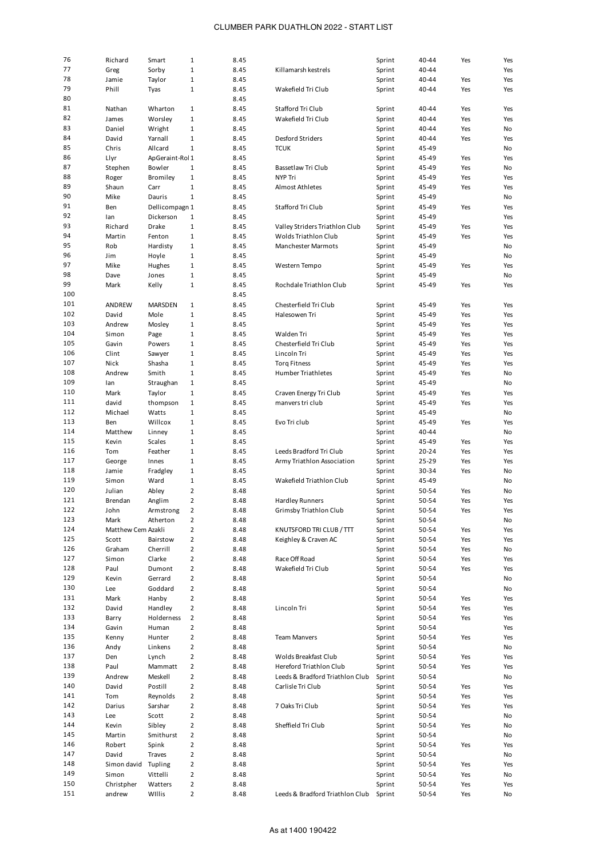| 76  | Richard            | Smart           | 1              | 8.45 |                                 | Sprint | 40-44 | Yes | Yes |
|-----|--------------------|-----------------|----------------|------|---------------------------------|--------|-------|-----|-----|
| 77  |                    | Sorby           | $\mathbf 1$    | 8.45 | Killamarsh kestrels             | Sprint | 40-44 |     | Yes |
| 78  | Greg               |                 |                |      |                                 |        |       |     |     |
|     | Jamie              | Taylor          | $\mathbf 1$    | 8.45 |                                 | Sprint | 40-44 | Yes | Yes |
| 79  | Phill              | Tyas            | $1\,$          | 8.45 | Wakefield Tri Club              | Sprint | 40-44 | Yes | Yes |
| 80  |                    |                 |                | 8.45 |                                 |        |       |     |     |
| 81  | Nathan             | Wharton         | $\mathbf{1}$   | 8.45 | Stafford Tri Club               | Sprint | 40-44 | Yes | Yes |
| 82  | James              | Worsley         | $\mathbf 1$    | 8.45 | Wakefield Tri Club              | Sprint | 40-44 | Yes | Yes |
|     |                    |                 |                |      |                                 |        |       |     |     |
| 83  | Daniel             | Wright          | $\mathbf 1$    | 8.45 |                                 | Sprint | 40-44 | Yes | No  |
| 84  | David              | Yarnall         | $\mathbf 1$    | 8.45 | Desford Striders                | Sprint | 40-44 | Yes | Yes |
| 85  | Chris              | Allcard         | $\mathbf{1}$   | 8.45 | <b>TCUK</b>                     | Sprint | 45-49 |     | No  |
| 86  | Llyr               | ApGeraint-Rol 1 |                | 8.45 |                                 | Sprint | 45-49 | Yes | Yes |
| 87  |                    | Bowler          |                | 8.45 |                                 |        | 45-49 |     |     |
|     | Stephen            |                 | $\mathbf{1}$   |      | Bassetlaw Tri Club              | Sprint |       | Yes | No  |
| 88  | Roger              | Bromiley        | $\mathbf 1$    | 8.45 | NYP Tri                         | Sprint | 45-49 | Yes | Yes |
| 89  | Shaun              | Carr            | $\mathbf 1$    | 8.45 | <b>Almost Athletes</b>          | Sprint | 45-49 | Yes | Yes |
| 90  | Mike               | Dauris          | $\mathbf{1}$   | 8.45 |                                 | Sprint | 45-49 |     | No  |
| 91  | Ben                | Dellicompagn 1  |                | 8.45 | Stafford Tri Club               | Sprint | 45-49 | Yes | Yes |
| 92  |                    |                 |                |      |                                 |        |       |     |     |
|     | lan                | Dickerson       | $\mathbf{1}$   | 8.45 |                                 | Sprint | 45-49 |     | Yes |
| 93  | Richard            | Drake           | $\mathbf 1$    | 8.45 | Valley Striders Triathlon Club  | Sprint | 45-49 | Yes | Yes |
| 94  | Martin             | Fenton          | $1\,$          | 8.45 | Wolds Triathlon Club            | Sprint | 45-49 | Yes | Yes |
| 95  | Rob                | Hardisty        | $1\,$          | 8.45 | <b>Manchester Marmots</b>       | Sprint | 45-49 |     | No  |
| 96  | Jim                | Hoyle           | $1\,$          | 8.45 |                                 | Sprint | 45-49 |     | No  |
|     |                    |                 |                |      |                                 |        |       |     |     |
| 97  | Mike               | Hughes          | $1\,$          | 8.45 | Western Tempo                   | Sprint | 45-49 | Yes | Yes |
| 98  | Dave               | Jones           | $1\,$          | 8.45 |                                 | Sprint | 45-49 |     | No  |
| 99  | Mark               | Kelly           | $1\,$          | 8.45 | Rochdale Triathlon Club         | Sprint | 45-49 | Yes | Yes |
| 100 |                    |                 |                | 8.45 |                                 |        |       |     |     |
| 101 |                    |                 |                |      |                                 |        |       |     |     |
|     | ANDREW             | <b>MARSDEN</b>  | $\mathbf{1}$   | 8.45 | Chesterfield Tri Club           | Sprint | 45-49 | Yes | Yes |
| 102 | David              | Mole            | $\mathbf 1$    | 8.45 | Halesowen Tri                   | Sprint | 45-49 | Yes | Yes |
| 103 | Andrew             | Mosley          | $\mathbf{1}$   | 8.45 |                                 | Sprint | 45-49 | Yes | Yes |
| 104 | Simon              | Page            | $1\,$          | 8.45 | <b>Walden Tri</b>               | Sprint | 45-49 | Yes | Yes |
| 105 | Gavin              | Powers          | $1\,$          | 8.45 | Chesterfield Tri Club           | Sprint | 45-49 | Yes | Yes |
|     |                    |                 |                |      |                                 |        |       |     |     |
| 106 | Clint              | Sawyer          | $1\,$          | 8.45 | Lincoln Tri                     | Sprint | 45-49 | Yes | Yes |
| 107 | Nick               | Shasha          | $1\,$          | 8.45 | <b>Torg Fitness</b>             | Sprint | 45-49 | Yes | Yes |
| 108 | Andrew             | Smith           | $1\,$          | 8.45 | <b>Humber Triathletes</b>       | Sprint | 45-49 | Yes | No  |
| 109 | lan                | Straughan       | $1\,$          | 8.45 |                                 | Sprint | 45-49 |     | No  |
|     |                    |                 |                |      |                                 |        |       |     |     |
| 110 | Mark               | Taylor          | $\mathbf{1}$   | 8.45 | Craven Energy Tri Club          | Sprint | 45-49 | Yes | Yes |
| 111 | david              | thompson        | $1\,$          | 8.45 | manvers tri club                | Sprint | 45-49 | Yes | Yes |
| 112 | Michael            | Watts           | $1\,$          | 8.45 |                                 | Sprint | 45-49 |     | No  |
| 113 | Ben                | Willcox         | $1\,$          | 8.45 | Evo Tri club                    | Sprint | 45-49 | Yes | Yes |
| 114 | Matthew            | Linney          | $1\,$          | 8.45 |                                 | Sprint | 40-44 |     | No  |
|     |                    |                 |                |      |                                 |        |       |     |     |
| 115 | Kevin              | Scales          | $1\,$          | 8.45 |                                 | Sprint | 45-49 | Yes | Yes |
| 116 | Tom                | Feather         | $1\,$          | 8.45 | Leeds Bradford Tri Club         | Sprint | 20-24 | Yes | Yes |
| 117 | George             | Innes           | $1\,$          | 8.45 | Army Triathlon Association      | Sprint | 25-29 | Yes | Yes |
| 118 | Jamie              | Fradgley        | $\mathbf{1}$   | 8.45 |                                 | Sprint | 30-34 | Yes | No  |
| 119 | Simon              |                 | $1\,$          |      | Wakefield Triathlon Club        |        |       |     |     |
|     |                    | Ward            |                | 8.45 |                                 | Sprint | 45-49 |     | No  |
| 120 | Julian             | Abley           | $\overline{2}$ | 8.48 |                                 | Sprint | 50-54 | Yes | No  |
| 121 | Brendan            | Anglim          | $\overline{2}$ | 8.48 | <b>Hardley Runners</b>          | Sprint | 50-54 | Yes | Yes |
| 122 | John               | Armstrong       | 2              | 8.48 | Grimsby Triathlon Club          | Sprint | 50-54 | Yes | Yes |
| 123 | Mark               | Atherton        | 2              | 8.48 |                                 | Sprint | 50-54 |     | No  |
|     |                    |                 |                |      |                                 |        |       |     |     |
| 124 | Matthew Cem Azakli |                 | $\mathbf 2$    | 8.48 | KNUTSFORD TRI CLUB / TTT        | Sprint | 50-54 | Yes | Yes |
| 125 | Scott              | Bairstow        | $\overline{2}$ | 8.48 | Keighley & Craven AC            | Sprint | 50-54 | Yes | Yes |
| 126 | Graham             | Cherrill        | $\overline{2}$ | 8.48 |                                 | Sprint | 50-54 | Yes | No  |
| 127 | Simon              | Clarke          | $\overline{2}$ | 8.48 | Race Off Road                   | Sprint | 50-54 | Yes | Yes |
| 128 |                    |                 |                |      | Wakefield Tri Club              |        |       |     |     |
|     | Paul               | Dumont          | $\overline{2}$ | 8.48 |                                 | Sprint | 50-54 | Yes | Yes |
| 129 | Kevin              | Gerrard         | $\overline{2}$ | 8.48 |                                 | Sprint | 50-54 |     | No  |
| 130 | Lee                | Goddard         | $\overline{2}$ | 8.48 |                                 | Sprint | 50-54 |     | No  |
| 131 | Mark               | Hanby           | $\mathbf 2$    | 8.48 |                                 | Sprint | 50-54 | Yes | Yes |
| 132 | David              | Handley         | $\overline{2}$ | 8.48 | Lincoln Tri                     | Sprint | 50-54 | Yes | Yes |
| 133 |                    |                 |                |      |                                 |        |       |     |     |
|     | Barry              | Holderness      | $\overline{2}$ | 8.48 |                                 | Sprint | 50-54 | Yes | Yes |
| 134 | Gavin              | Human           | $\overline{2}$ | 8.48 |                                 | Sprint | 50-54 |     | Yes |
| 135 | Kenny              | Hunter          | $\overline{2}$ | 8.48 | <b>Team Manvers</b>             | Sprint | 50-54 | Yes | Yes |
| 136 | Andy               | Linkens         | $\overline{2}$ | 8.48 |                                 | Sprint | 50-54 |     | No  |
| 137 | Den                | Lynch           | $\overline{2}$ | 8.48 | Wolds Breakfast Club            | Sprint | 50-54 | Yes | Yes |
|     |                    |                 |                |      |                                 |        |       |     |     |
| 138 | Paul               | Mammatt         | $\overline{2}$ | 8.48 | Hereford Triathlon Club         | Sprint | 50-54 | Yes | Yes |
| 139 | Andrew             | Meskell         | $\mathbf 2$    | 8.48 | Leeds & Bradford Triathlon Club | Sprint | 50-54 |     | No  |
| 140 | David              | Postill         | $\overline{2}$ | 8.48 | Carlisle Tri Club               | Sprint | 50-54 | Yes | Yes |
| 141 | Tom                | Reynolds        | $\overline{2}$ | 8.48 |                                 | Sprint | 50-54 | Yes | Yes |
| 142 | Darius             | Sarshar         | $\overline{2}$ | 8.48 | 7 Oaks Tri Club                 |        |       | Yes | Yes |
|     |                    |                 |                |      |                                 | Sprint | 50-54 |     |     |
| 143 | Lee                | Scott           | $\overline{2}$ | 8.48 |                                 | Sprint | 50-54 |     | No  |
| 144 | Kevin              | Sibley          | $\overline{2}$ | 8.48 | Sheffield Tri Club              | Sprint | 50-54 | Yes | No  |
| 145 | Martin             | Smithurst       | $\overline{2}$ | 8.48 |                                 | Sprint | 50-54 |     | No  |
| 146 | Robert             | Spink           | $\mathbf 2$    | 8.48 |                                 | Sprint | 50-54 | Yes | Yes |
|     |                    |                 |                |      |                                 |        |       |     |     |
| 147 | David              | Traves          | $\overline{2}$ | 8.48 |                                 | Sprint | 50-54 |     | No  |
| 148 | Simon david        | Tupling         | $\overline{2}$ | 8.48 |                                 | Sprint | 50-54 | Yes | Yes |
| 149 | Simon              | Vittelli        | $\overline{2}$ | 8.48 |                                 | Sprint | 50-54 | Yes | No  |
| 150 | Christpher         | Watters         | $\overline{2}$ | 8.48 |                                 | Sprint | 50-54 | Yes | Yes |
| 151 |                    |                 |                |      |                                 |        |       |     |     |
|     | andrew             | WIllis          | $\overline{2}$ | 8.48 | Leeds & Bradford Triathlon Club | Sprint | 50-54 | Yes | No  |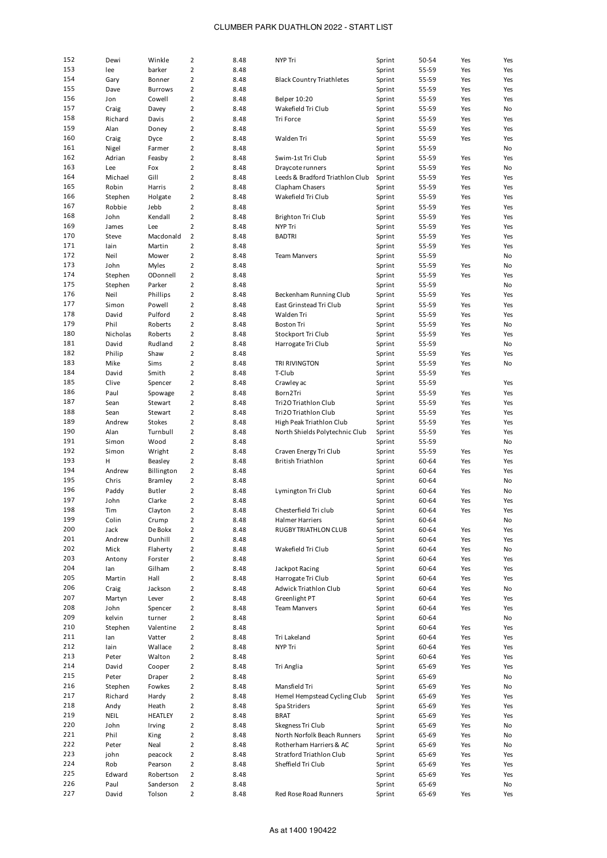| 152 | Dewi        | Winkle         | $\overline{2}$ | 8.48 | NYP Tri                          | Sprint | 50-54 | Yes | Yes |
|-----|-------------|----------------|----------------|------|----------------------------------|--------|-------|-----|-----|
| 153 | lee         | barker         | $\overline{2}$ | 8.48 |                                  | Sprint | 55-59 | Yes | Yes |
|     |             |                |                |      |                                  |        |       |     |     |
| 154 | Gary        | Bonner         | $\overline{2}$ | 8.48 | <b>Black Country Triathletes</b> | Sprint | 55-59 | Yes | Yes |
| 155 | Dave        | <b>Burrows</b> | $\overline{2}$ | 8.48 |                                  | Sprint | 55-59 | Yes | Yes |
| 156 | Jon         | Cowell         | $\overline{2}$ | 8.48 | Belper 10:20                     | Sprint | 55-59 | Yes | Yes |
| 157 | Craig       | Davey          | $\overline{2}$ | 8.48 | Wakefield Tri Club               | Sprint | 55-59 | Yes | No  |
| 158 | Richard     | Davis          | $\overline{2}$ | 8.48 | Tri Force                        | Sprint | 55-59 | Yes | Yes |
| 159 | Alan        | Doney          | $\overline{2}$ | 8.48 |                                  | Sprint | 55-59 | Yes | Yes |
|     |             |                |                |      |                                  |        |       |     |     |
| 160 | Craig       | Dyce           | $\overline{2}$ | 8.48 | Walden Tri                       | Sprint | 55-59 | Yes | Yes |
| 161 | Nigel       | Farmer         | $\overline{2}$ | 8.48 |                                  | Sprint | 55-59 |     | No  |
| 162 | Adrian      | Feasby         | $\overline{2}$ | 8.48 | Swim-1st Tri Club                | Sprint | 55-59 | Yes | Yes |
| 163 | Lee         | Fox            | $\overline{2}$ | 8.48 | Draycote runners                 | Sprint | 55-59 | Yes | No  |
| 164 | Michael     | Gill           | $\overline{2}$ | 8.48 | Leeds & Bradford Triathlon Club  | Sprint | 55-59 | Yes | Yes |
|     |             |                |                |      |                                  |        |       |     |     |
| 165 | Robin       | Harris         | $\overline{2}$ | 8.48 | Clapham Chasers                  | Sprint | 55-59 | Yes | Yes |
| 166 | Stephen     | Holgate        | $\overline{2}$ | 8.48 | Wakefield Tri Club               | Sprint | 55-59 | Yes | Yes |
| 167 | Robbie      | Jebb           | $\overline{2}$ | 8.48 |                                  | Sprint | 55-59 | Yes | Yes |
| 168 | John        | Kendall        | $\overline{2}$ | 8.48 | Brighton Tri Club                | Sprint | 55-59 | Yes | Yes |
| 169 | James       | Lee            | $\overline{2}$ | 8.48 | NYP Tri                          | Sprint | 55-59 | Yes | Yes |
| 170 |             |                |                |      |                                  |        |       |     |     |
|     | Steve       | Macdonald      | $\overline{2}$ | 8.48 | <b>BADTRI</b>                    | Sprint | 55-59 | Yes | Yes |
| 171 | lain        | Martin         | $\overline{2}$ | 8.48 |                                  | Sprint | 55-59 | Yes | Yes |
| 172 | Neil        | Mower          | $\overline{2}$ | 8.48 | <b>Team Manvers</b>              | Sprint | 55-59 |     | No  |
| 173 | John        | <b>Myles</b>   | $\overline{2}$ | 8.48 |                                  | Sprint | 55-59 | Yes | No  |
| 174 | Stephen     | ODonnell       | $\overline{2}$ | 8.48 |                                  | Sprint | 55-59 | Yes | Yes |
| 175 | Stephen     | Parker         | $\overline{2}$ | 8.48 |                                  | Sprint | 55-59 |     | No  |
|     |             |                |                |      |                                  |        |       |     |     |
| 176 | Neil        | Phillips       | $\overline{2}$ | 8.48 | Beckenham Running Club           | Sprint | 55-59 | Yes | Yes |
| 177 | Simon       | Powell         | $\overline{2}$ | 8.48 | East Grinstead Tri Club          | Sprint | 55-59 | Yes | Yes |
| 178 | David       | Pulford        | $\overline{2}$ | 8.48 | Walden Tri                       | Sprint | 55-59 | Yes | Yes |
| 179 | Phil        | Roberts        | $\overline{2}$ | 8.48 | <b>Boston Tri</b>                | Sprint | 55-59 | Yes | No  |
| 180 | Nicholas    | Roberts        | $\overline{2}$ | 8.48 | Stockport Tri Club               | Sprint | 55-59 | Yes | Yes |
| 181 |             |                |                |      |                                  |        |       |     |     |
|     | David       | Rudland        | $\overline{2}$ | 8.48 | Harrogate Tri Club               | Sprint | 55-59 |     | No  |
| 182 | Philip      | Shaw           | $\overline{2}$ | 8.48 |                                  | Sprint | 55-59 | Yes | Yes |
| 183 | Mike        | Sims           | $\overline{2}$ | 8.48 | TRI RIVINGTON                    | Sprint | 55-59 | Yes | No  |
| 184 | David       | Smith          | $\overline{2}$ | 8.48 | T-Club                           | Sprint | 55-59 | Yes |     |
| 185 | Clive       | Spencer        | $\overline{2}$ | 8.48 | Crawley ac                       | Sprint | 55-59 |     | Yes |
| 186 | Paul        | Spowage        | $\overline{2}$ | 8.48 | Born2Tri                         | Sprint | 55-59 | Yes | Yes |
|     |             |                |                |      |                                  |        |       |     |     |
| 187 | Sean        | Stewart        | $\overline{2}$ | 8.48 | Tri2O Triathlon Club             | Sprint | 55-59 | Yes | Yes |
| 188 | Sean        | Stewart        | $\overline{2}$ | 8.48 | Tri2O Triathlon Club             | Sprint | 55-59 | Yes | Yes |
| 189 | Andrew      | <b>Stokes</b>  | $\overline{2}$ | 8.48 | High Peak Triathlon Club         | Sprint | 55-59 | Yes | Yes |
| 190 | Alan        | Turnbull       | $\overline{2}$ | 8.48 | North Shields Polytechnic Club   | Sprint | 55-59 | Yes | Yes |
| 191 | Simon       | Wood           | $\overline{2}$ | 8.48 |                                  | Sprint | 55-59 |     | No  |
| 192 |             |                | $\overline{2}$ |      |                                  |        |       |     |     |
|     | Simon       | Wright         |                | 8.48 | Craven Energy Tri Club           | Sprint | 55-59 | Yes | Yes |
| 193 | H           | Beasley        | $\overline{2}$ | 8.48 | <b>British Triathlon</b>         | Sprint | 60-64 | Yes | Yes |
| 194 | Andrew      | Billington     | $\overline{2}$ | 8.48 |                                  | Sprint | 60-64 | Yes | Yes |
| 195 | Chris       | Bramley        | $\overline{2}$ | 8.48 |                                  | Sprint | 60-64 |     | No  |
| 196 | Paddy       | Butler         | $\overline{2}$ | 8.48 | Lymington Tri Club               | Sprint | 60-64 | Yes | No  |
| 197 | John        | Clarke         | $\overline{2}$ | 8.48 |                                  | Sprint | 60-64 | Yes | Yes |
| 198 |             |                |                |      |                                  |        |       |     |     |
|     | Tim         | Clayton        | 2              | 8.48 | Chesterfield Tri club            | Sprint | 60-64 | Yes | Yes |
| 199 | Colin       | Crump          | $\overline{2}$ | 8.48 | <b>Halmer Harriers</b>           | Sprint | 60-64 |     | No  |
| 200 | Jack        | De Bokx        | $\overline{2}$ | 8.48 | RUGBY TRIATHLON CLUB             | Sprint | 60-64 | Yes | Yes |
| 201 | Andrew      | Dunhill        | $\overline{2}$ | 8.48 |                                  | Sprint | 60-64 | Yes | Yes |
| 202 | Mick        | Flaherty       | $\overline{2}$ | 8.48 | Wakefield Tri Club               | Sprint | 60-64 | Yes | No  |
| 203 | Antony      | Forster        | $\overline{2}$ | 8.48 |                                  | Sprint | 60-64 | Yes | Yes |
|     |             |                |                |      |                                  |        |       |     |     |
| 204 | lan         | Gilham         | $\overline{2}$ | 8.48 | Jackpot Racing                   | Sprint | 60-64 | Yes | Yes |
| 205 | Martin      | Hall           | $\overline{2}$ | 8.48 | Harrogate Tri Club               | Sprint | 60-64 | Yes | Yes |
| 206 | Craig       | Jackson        | $\overline{2}$ | 8.48 | Adwick Triathlon Club            | Sprint | 60-64 | Yes | No  |
| 207 | Martyn      | Lever          | $\overline{2}$ | 8.48 | Greenlight PT                    | Sprint | 60-64 | Yes | Yes |
| 208 | John        | Spencer        | $\overline{2}$ | 8.48 | <b>Team Manvers</b>              | Sprint | 60-64 | Yes | Yes |
| 209 | kelvin      | turner         | 2              | 8.48 |                                  | Sprint | 60-64 |     | No  |
|     |             |                |                |      |                                  |        |       |     |     |
| 210 | Stephen     | Valentine      | 2              | 8.48 |                                  | Sprint | 60-64 | Yes | Yes |
| 211 | lan         | Vatter         | $\overline{2}$ | 8.48 | Tri Lakeland                     | Sprint | 60-64 | Yes | Yes |
| 212 | lain        | Wallace        | $\overline{2}$ | 8.48 | NYP Tri                          | Sprint | 60-64 | Yes | Yes |
| 213 | Peter       | Walton         | $\overline{2}$ | 8.48 |                                  | Sprint | 60-64 | Yes | Yes |
| 214 | David       | Cooper         | $\overline{2}$ | 8.48 | Tri Anglia                       | Sprint | 65-69 | Yes | Yes |
| 215 | Peter       | Draper         | $\overline{2}$ | 8.48 |                                  | Sprint | 65-69 |     | No  |
|     |             |                |                |      |                                  |        |       |     |     |
| 216 | Stephen     | Fowkes         | $\overline{2}$ | 8.48 | Mansfield Tri                    | Sprint | 65-69 | Yes | No  |
| 217 | Richard     | Hardy          | $\overline{2}$ | 8.48 | Hemel Hempstead Cycling Club     | Sprint | 65-69 | Yes | Yes |
| 218 | Andy        | Heath          | $\overline{2}$ | 8.48 | Spa Striders                     | Sprint | 65-69 | Yes | Yes |
| 219 | <b>NEIL</b> | <b>HEATLEY</b> | $\overline{2}$ | 8.48 | <b>BRAT</b>                      | Sprint | 65-69 | Yes | Yes |
| 220 | John        | Irving         | $\overline{2}$ | 8.48 | Skegness Tri Club                | Sprint | 65-69 | Yes | No  |
| 221 |             |                |                |      |                                  |        |       |     |     |
|     | Phil        | King           | $\overline{2}$ | 8.48 | North Norfolk Beach Runners      | Sprint | 65-69 | Yes | No  |
| 222 | Peter       | Neal           | $\overline{2}$ | 8.48 | Rotherham Harriers & AC          | Sprint | 65-69 | Yes | No  |
| 223 | john        | peacock        | $\overline{2}$ | 8.48 | Stratford Triathlon Club         | Sprint | 65-69 | Yes | Yes |
| 224 | Rob         | Pearson        | 2              | 8.48 | Sheffield Tri Club               | Sprint | 65-69 | Yes | Yes |
| 225 | Edward      | Robertson      | $\overline{2}$ | 8.48 |                                  | Sprint | 65-69 | Yes | Yes |
| 226 | Paul        | Sanderson      | 2              | 8.48 |                                  | Sprint | 65-69 |     | No  |
|     |             |                |                |      |                                  |        |       |     | Yes |
| 227 | David       | Tolson         | $\overline{2}$ | 8.48 | Red Rose Road Runners            | Sprint | 65-69 | Yes |     |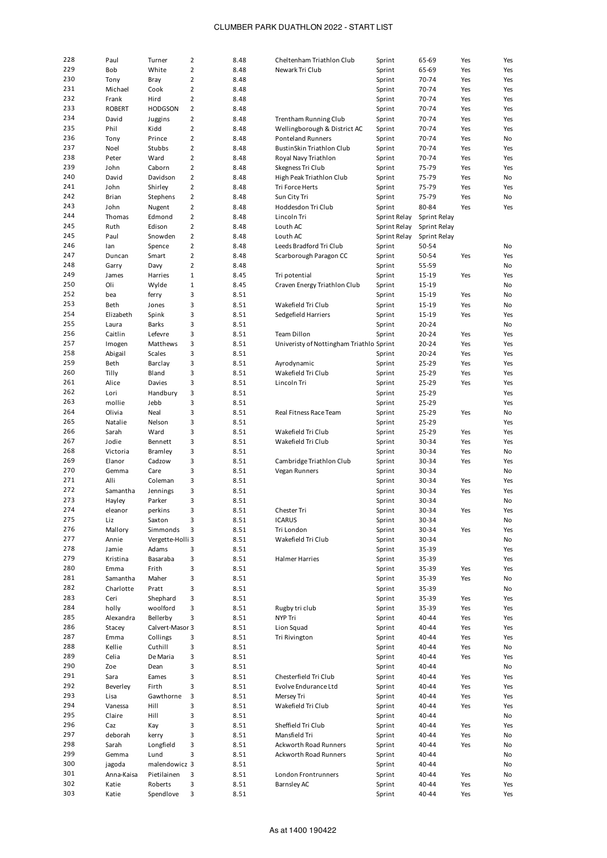| 228        | Paul           | Turner               | $\overline{2}$ | 8.48         | Cheltenham Triathlon Club                | Sprint           | 65-69          | Yes        | Yes        |
|------------|----------------|----------------------|----------------|--------------|------------------------------------------|------------------|----------------|------------|------------|
| 229        | Bob            | White                | $\overline{2}$ | 8.48         | Newark Tri Club                          | Sprint           | 65-69          | Yes        | Yes        |
| 230        | Tony           | Bray                 | $\overline{2}$ | 8.48         |                                          | Sprint           | 70-74          | Yes        | Yes        |
| 231        | Michael        | Cook                 | $\overline{2}$ | 8.48         |                                          | Sprint           | 70-74          | Yes        | Yes        |
| 232        | Frank          | Hird                 | $\overline{2}$ | 8.48         |                                          | Sprint           | 70-74          | Yes        | Yes        |
| 233        | <b>ROBERT</b>  | <b>HODGSON</b>       | $\overline{2}$ | 8.48         |                                          | Sprint           | 70-74          | Yes        | Yes        |
| 234        | David          | Juggins              | $\overline{2}$ | 8.48         | Trentham Running Club                    | Sprint           | 70-74          | Yes        | Yes        |
| 235        | Phil           | Kidd                 | $\overline{2}$ | 8.48         | Wellingborough & District AC             | Sprint           | 70-74          | Yes        | Yes        |
| 236        | Tony           | Prince               | $\overline{2}$ | 8.48         | <b>Ponteland Runners</b>                 | Sprint           | 70-74          | Yes        | No         |
| 237        | Noel           | Stubbs               | $\overline{2}$ | 8.48         | BustinSkin Triathlon Club                | Sprint           | 70-74          | Yes        | Yes        |
| 238        | Peter          | Ward                 | $\overline{2}$ | 8.48         | Royal Navy Triathlon                     | Sprint           | 70-74          | Yes        | Yes        |
| 239        |                | Caborn               | $\overline{2}$ |              |                                          |                  |                |            |            |
|            | John           |                      |                | 8.48         | Skegness Tri Club                        | Sprint           | 75-79          | Yes        | Yes        |
| 240        | David          | Davidson             | $\overline{2}$ | 8.48         | High Peak Triathlon Club                 | Sprint           | 75-79          | Yes        | No         |
| 241        | John           | Shirley              | $\overline{2}$ | 8.48         | Tri Force Herts                          | Sprint           | 75-79          | Yes        | Yes        |
| 242        | Brian          | Stephens             | $\overline{2}$ | 8.48         | Sun City Tri                             | Sprint           | 75-79          | Yes        | No         |
| 243        | John           | Nugent               | $\overline{2}$ | 8.48         | Hoddesdon Tri Club                       | Sprint           | 80-84          | Yes        | Yes        |
| 244        | Thomas         | Edmond               | $\overline{2}$ | 8.48         | Lincoln Tri                              | Sprint Relay     | Sprint Relay   |            |            |
| 245        | Ruth           | Edison               | $\overline{2}$ | 8.48         | Louth AC                                 | Sprint Relay     | Sprint Relay   |            |            |
| 245        | Paul           | Snowden              | $\overline{2}$ | 8.48         | Louth AC                                 | Sprint Relay     | Sprint Relay   |            |            |
| 246        | lan            | Spence               | $\overline{2}$ | 8.48         | Leeds Bradford Tri Club                  | Sprint           | 50-54          |            | No         |
| 247        | Duncan         | Smart                | $\overline{2}$ | 8.48         | Scarborough Paragon CC                   | Sprint           | 50-54          | Yes        | Yes        |
| 248        | Garry          | Davy                 | $\overline{2}$ | 8.48         |                                          | Sprint           | 55-59          |            | No         |
| 249        | James          | Harries              | $\mathbf 1$    | 8.45         | Tri potential                            | Sprint           | 15-19          | Yes        | Yes        |
| 250        | Oli            | Wylde                | $\mathbf 1$    | 8.45         | Craven Energy Triathlon Club             | Sprint           | 15-19          |            | No         |
| 252        | bea            | ferry                | 3              | 8.51         |                                          | Sprint           | 15-19          | Yes        | No         |
| 253        | Beth           | Jones                | 3              | 8.51         | Wakefield Tri Club                       | Sprint           | 15-19          | Yes        | No         |
| 254        | Elizabeth      |                      | 3              | 8.51         |                                          | Sprint           | 15-19          |            |            |
|            |                | Spink                |                |              | Sedgefield Harriers                      |                  |                | Yes        | Yes        |
| 255        | Laura          | <b>Barks</b>         | 3              | 8.51         |                                          | Sprint           | 20-24          |            | No         |
| 256        | Caitlin        | Lefevre              | 3              | 8.51         | Team Dillon                              | Sprint           | $20 - 24$      | Yes        | Yes        |
| 257        | Imogen         | Matthews             | 3              | 8.51         | Univeristy of Nottingham Triathlo Sprint |                  | 20-24          | Yes        | Yes        |
| 258        | Abigail        | Scales               | 3              | 8.51         |                                          | Sprint           | 20-24          | Yes        | Yes        |
| 259        | Beth           | Barclay              | 3              | 8.51         | Ayrodynamic                              | Sprint           | 25-29          | Yes        | Yes        |
| 260        | Tilly          | Bland                | 3              | 8.51         | Wakefield Tri Club                       | Sprint           | 25-29          | Yes        | Yes        |
| 261        | Alice          | Davies               | 3              | 8.51         | Lincoln Tri                              | Sprint           | 25-29          | Yes        | Yes        |
| 262        | Lori           | Handbury             | 3              | 8.51         |                                          | Sprint           | 25-29          |            | Yes        |
| 263        | mollie         | Jebb                 | 3              | 8.51         |                                          | Sprint           | 25-29          |            | Yes        |
| 264        | Olivia         | Neal                 | 3              | 8.51         | Real Fitness Race Team                   | Sprint           | 25-29          | Yes        | No         |
| 265        | Natalie        | Nelson               | 3              | 8.51         |                                          | Sprint           | 25-29          |            | Yes        |
| 266        | Sarah          | Ward                 | 3              | 8.51         | Wakefield Tri Club                       | Sprint           | 25-29          | Yes        | Yes        |
| 267        | Jodie          | Bennett              | 3              | 8.51         | Wakefield Tri Club                       | Sprint           | 30-34          | Yes        | Yes        |
| 268        | Victoria       | Bramley              | 3              | 8.51         |                                          | Sprint           | 30-34          | Yes        | No         |
| 269        |                |                      | 3              |              |                                          |                  |                |            |            |
| 270        | Elanor         | Cadzow               |                | 8.51         | Cambridge Triathlon Club                 | Sprint           | 30-34          | Yes        | Yes        |
|            | Gemma          | Care                 | 3              | 8.51         | Vegan Runners                            | Sprint           | 30-34          |            | No         |
| 271        | Alli           | Coleman              | 3              | 8.51         |                                          | Sprint           | 30-34          | Yes        | Yes        |
| 272        | Samantha       | Jennings             | 3              | 8.51         |                                          | Sprint           | 30-34          | Yes        | Yes        |
| 273        | Hayley         | Parker               | 3              | 8.51         |                                          | Sprint           | 30-34          |            | No         |
| 274        | eleanor        | perkins              | 3              | 8.51         | Chester Tri                              | Sprint           | 30-34          | Yes        | Yes        |
| 275        | Liz            | Saxton               | 3              | 8.51         | <b>ICARUS</b>                            | Sprint           | 30-34          |            | No         |
| 276        | Mallory        | Simmonds             | 3              | 8.51         | Tri London                               | Sprint           | 30-34          | Yes        | Yes        |
| 277        | Annie          | Vergette-Holli 3     |                | 8.51         | Wakefield Tri Club                       | Sprint           | 30-34          |            | No         |
| 278        | Jamie          | Adams                | 3              | 8.51         |                                          | Sprint           | 35-39          |            | Yes        |
| 279        | Kristina       | Basaraba             | 3              | 8.51         | Halmer Harries                           | Sprint           | 35-39          |            | Yes        |
| 280        | Emma           | Frith                | 3              | 8.51         |                                          | Sprint           | 35-39          | Yes        | Yes        |
| 281        | Samantha       | Maher                | 3              | 8.51         |                                          | Sprint           | 35-39          | Yes        | No         |
| 282        | Charlotte      | Pratt                | 3              | 8.51         |                                          |                  | 35-39          |            | No         |
| 283        |                |                      |                |              |                                          |                  |                |            |            |
| 284        |                |                      |                |              |                                          | Sprint           |                |            |            |
| 285        | Ceri           | Shephard             | 3              | 8.51         |                                          | Sprint           | 35-39          | Yes        | Yes        |
|            | holly          | woolford             | 3              | 8.51         | Rugby tri club                           | Sprint           | 35-39          | Yes        | Yes        |
|            | Alexandra      | Bellerby             | 3              | 8.51         | NYP Tri                                  | Sprint           | 40-44          | Yes        | Yes        |
| 286        | Stacey         | Calvert-Masor 3      |                | 8.51         | Lion Squad                               | Sprint           | 40-44          | Yes        | Yes        |
| 287        | Emma           | Collings             | 3              | 8.51         | Tri Rivington                            | Sprint           | 40-44          | Yes        | Yes        |
| 288        | Kellie         | Cuthill              | 3              | 8.51         |                                          | Sprint           | 40-44          | Yes        | No         |
| 289        | Celia          | De Maria             | 3              | 8.51         |                                          | Sprint           | 40-44          | Yes        | Yes        |
| 290        | Zoe            | Dean                 | 3              | 8.51         |                                          | Sprint           | 40-44          |            | No         |
| 291        | Sara           | Eames                | 3              | 8.51         | Chesterfield Tri Club                    | Sprint           | 40-44          | Yes        | Yes        |
| 292        | Beverley       | Firth                | 3              | 8.51         | Evolve Endurance Ltd                     | Sprint           | 40-44          | Yes        | Yes        |
| 293        | Lisa           | Gawthorne            | 3              | 8.51         | Mersey Tri                               | Sprint           | 40-44          | Yes        | Yes        |
| 294        | Vanessa        | Hill                 | 3              | 8.51         | Wakefield Tri Club                       | Sprint           | 40-44          | Yes        | Yes        |
| 295        | Claire         | Hill                 | 3              | 8.51         |                                          | Sprint           | 40-44          |            | No         |
| 296        | Caz            | Kay                  | 3              | 8.51         | Sheffield Tri Club                       | Sprint           | 40-44          | Yes        | Yes        |
| 297        | deborah        | kerry                | 3              | 8.51         | Mansfield Tri                            | Sprint           | 40-44          | Yes        | No         |
| 298        |                |                      |                |              |                                          |                  |                |            |            |
|            | Sarah          | Longfield            | 3              | 8.51         | Ackworth Road Runners                    | Sprint           | 40-44          | Yes        | No         |
| 299        | Gemma          | Lund                 | 3              | 8.51         | Ackworth Road Runners                    | Sprint           | 40-44          |            | No         |
| 300        | jagoda         | malendowicz 3        |                | 8.51         |                                          | Sprint           | 40-44          |            | No         |
| 301        | Anna-Kaisa     | Pietilainen          | 3              | 8.51         | London Frontrunners                      | Sprint           | 40-44          | Yes        | No         |
| 302<br>303 | Katie<br>Katie | Roberts<br>Spendlove | 3<br>3         | 8.51<br>8.51 | <b>Barnsley AC</b>                       | Sprint<br>Sprint | 40-44<br>40-44 | Yes<br>Yes | Yes<br>Yes |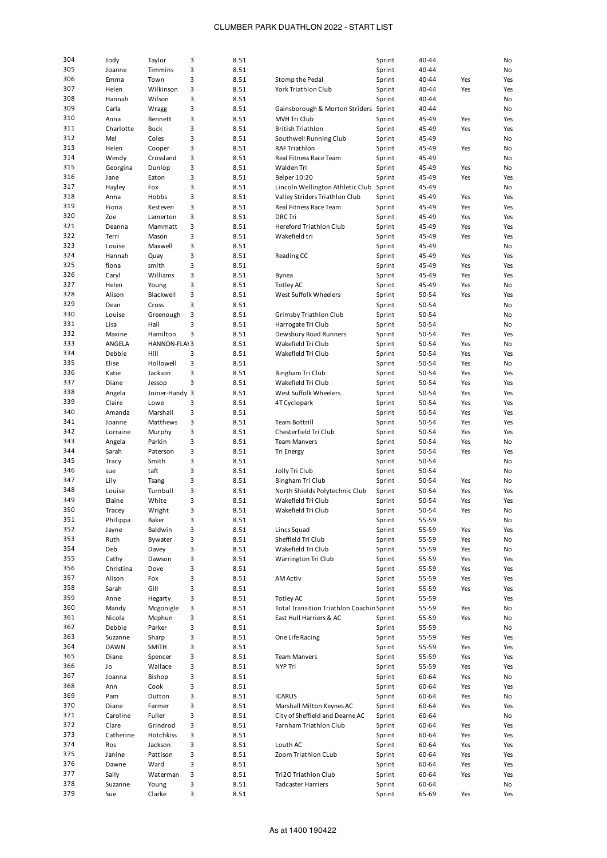| 304 |             |                     |   |      |                                                  |        |       |     |     |
|-----|-------------|---------------------|---|------|--------------------------------------------------|--------|-------|-----|-----|
|     | Jody        | Taylor              | 3 | 8.51 |                                                  | Sprint | 40-44 |     | No  |
| 305 | Joanne      | Timmins             | 3 | 8.51 |                                                  | Sprint | 40-44 |     | No  |
| 306 | Emma        | Town                | 3 | 8.51 | Stomp the Pedal                                  | Sprint | 40-44 | Yes | Yes |
|     |             |                     |   |      |                                                  |        |       |     |     |
| 307 | Helen       | Wilkinson           | 3 | 8.51 | York Triathlon Club                              | Sprint | 40-44 | Yes | Yes |
| 308 | Hannah      | Wilson              | 3 | 8.51 |                                                  | Sprint | 40-44 |     | No  |
|     |             |                     |   |      |                                                  |        |       |     |     |
| 309 | Carla       | Wragg               | 3 | 8.51 | Gainsborough & Morton Striders                   | Sprint | 40-44 |     | No  |
| 310 | Anna        | Bennett             | 3 | 8.51 | <b>MVH Tri Club</b>                              | Sprint | 45-49 | Yes | Yes |
|     |             |                     |   |      |                                                  |        |       |     |     |
| 311 | Charlotte   | <b>Buck</b>         | 3 | 8.51 | <b>British Triathlon</b>                         | Sprint | 45-49 | Yes | Yes |
| 312 | Mel         | Coles               | 3 | 8.51 | Southwell Running Club                           | Sprint | 45-49 |     | No  |
|     |             |                     |   |      |                                                  |        |       |     |     |
| 313 | Helen       | Cooper              | 3 | 8.51 | RAF Triathlon                                    | Sprint | 45-49 | Yes | No  |
| 314 | Wendy       | Crossland           | 3 | 8.51 | Real Fitness Race Team                           | Sprint | 45-49 |     | No  |
|     |             |                     |   |      |                                                  |        |       |     |     |
| 315 | Georgina    | Dunlop              | 3 | 8.51 | Walden Tri                                       | Sprint | 45-49 | Yes | No  |
| 316 | Jane        | Eaton               | 3 | 8.51 | <b>Belper 10:20</b>                              | Sprint | 45-49 | Yes | Yes |
|     |             |                     |   |      |                                                  |        |       |     |     |
| 317 | Hayley      | Fox                 | 3 | 8.51 | Lincoln Wellington Athletic Club                 | Sprint | 45-49 |     | No  |
| 318 | Anna        | Hobbs               | 3 | 8.51 | Valley Striders Triathlon Club                   | Sprint | 45-49 | Yes | Yes |
| 319 |             |                     |   |      |                                                  |        |       |     |     |
|     | Fiona       | Kesteven            | 3 | 8.51 | Real Fitness Race Team                           | Sprint | 45-49 | Yes | Yes |
| 320 | Zoe         | Lamerton            | 3 | 8.51 | <b>DRC</b> Tri                                   | Sprint | 45-49 | Yes | Yes |
| 321 |             |                     | 3 | 8.51 | Hereford Triathlon Club                          |        |       | Yes | Yes |
|     | Deanna      | Mammatt             |   |      |                                                  | Sprint | 45-49 |     |     |
| 322 | Terri       | Mason               | 3 | 8.51 | Wakefield tri                                    | Sprint | 45-49 | Yes | Yes |
| 323 | Louise      | Maxwell             | 3 | 8.51 |                                                  | Sprint | 45-49 |     | No  |
|     |             |                     |   |      |                                                  |        |       |     |     |
| 324 | Hannah      | Quay                | 3 | 8.51 | Reading CC                                       | Sprint | 45-49 | Yes | Yes |
| 325 | fiona       | smith               | 3 | 8.51 |                                                  | Sprint | 45-49 | Yes | Yes |
|     |             |                     |   |      |                                                  |        |       |     |     |
| 326 | Caryl       | Williams            | 3 | 8.51 | Bynea                                            | Sprint | 45-49 | Yes | Yes |
| 327 | Helen       | Young               | 3 | 8.51 | Totley AC                                        | Sprint | 45-49 | Yes | No  |
|     |             |                     |   |      |                                                  |        |       |     |     |
| 328 | Alison      | Blackwell           | 3 | 8.51 | West Suffolk Wheelers                            | Sprint | 50-54 | Yes | Yes |
| 329 | Dean        | Cross               | 3 | 8.51 |                                                  | Sprint | 50-54 |     | No  |
|     |             |                     |   |      |                                                  |        |       |     |     |
| 330 | Louise      | Greenough           | 3 | 8.51 | Grimsby Triathlon Club                           | Sprint | 50-54 |     | No  |
| 331 | Lisa        | Hall                | 3 | 8.51 | Harrogate Tri Club                               | Sprint | 50-54 |     | No  |
|     |             |                     |   |      |                                                  |        |       |     |     |
| 332 | Maxine      | Hamilton            | 3 | 8.51 | Dewsbury Road Runners                            | Sprint | 50-54 | Yes | Yes |
| 333 | ANGELA      | <b>HANNON-FLAI3</b> |   | 8.51 | Wakefield Tri Club                               | Sprint | 50-54 | Yes | No  |
|     |             |                     |   |      |                                                  |        |       |     |     |
| 334 | Debbie      | Hill                | 3 | 8.51 | Wakefield Tri Club                               | Sprint | 50-54 | Yes | Yes |
| 335 | Elise       | Hollowell           | 3 | 8.51 |                                                  | Sprint | 50-54 | Yes | No  |
|     |             |                     |   |      |                                                  |        |       |     |     |
| 336 | Katie       | Jackson             | 3 | 8.51 | Bingham Tri Club                                 | Sprint | 50-54 | Yes | Yes |
| 337 | Diane       | Jessop              | 3 | 8.51 | Wakefield Tri Club                               | Sprint | 50-54 | Yes | Yes |
|     |             |                     |   |      |                                                  |        |       |     |     |
| 338 | Angela      | Joiner-Handy 3      |   | 8.51 | West Suffolk Wheelers                            | Sprint | 50-54 | Yes | Yes |
| 339 | Claire      | Lowe                | 3 | 8.51 | 4T Cyclopark                                     | Sprint | 50-54 | Yes | Yes |
|     |             |                     |   |      |                                                  |        |       |     |     |
| 340 | Amanda      | Marshall            | 3 | 8.51 |                                                  | Sprint | 50-54 | Yes | Yes |
| 341 | Joanne      | Matthews            | 3 | 8.51 | <b>Team Bottrill</b>                             | Sprint | 50-54 | Yes | Yes |
|     |             |                     |   |      |                                                  |        |       |     |     |
| 342 | Lorraine    | Murphy              | 3 | 8.51 | Chesterfield Tri Club                            | Sprint | 50-54 | Yes | Yes |
| 343 | Angela      | Parkin              | 3 | 8.51 | <b>Team Manvers</b>                              | Sprint | 50-54 | Yes | No  |
|     |             |                     |   |      |                                                  |        |       |     |     |
| 344 | Sarah       | Paterson            | 3 | 8.51 | Tri Energy                                       | Sprint | 50-54 | Yes | Yes |
| 345 | Tracy       | Smith               | 3 | 8.51 |                                                  | Sprint | 50-54 |     | No  |
|     |             |                     |   |      |                                                  |        |       |     |     |
| 346 | sue         | taft                | 3 | 8.51 | Jolly Tri Club                                   | Sprint | 50-54 |     | No  |
| 347 | Lily        | Tsang               | 3 | 8.51 | Bingham Tri Club                                 | Sprint | 50-54 | Yes | No  |
|     |             |                     |   |      |                                                  |        |       |     |     |
| 348 | Louise      | Turnbull            | 3 | 8.51 | North Shields Polytechnic Club                   | Sprint | 50-54 | Yes | Yes |
| 349 | Elaine      | White               | 3 | 8.51 | Wakefield Tri Club                               | Sprint | 50-54 | Yes | Yes |
|     |             |                     |   |      |                                                  |        |       |     |     |
| 350 | Tracey      | Wright              | 3 | 8.51 | Wakefield Tri Club                               | Sprint | 50-54 | Yes | No  |
| 351 | Philippa    | Baker               | з | 8.51 |                                                  | Sprint | 55-59 |     | No  |
| 352 |             |                     |   |      |                                                  |        |       |     |     |
|     | Jayne       | Baldwin             | 3 | 8.51 | Lincs Squad                                      | Sprint | 55-59 | Yes | Yes |
| 353 | Ruth        | Bywater             | 3 | 8.51 | Sheffield Tri Club                               | Sprint | 55-59 | Yes | No  |
| 354 | Deb         | Davey               | 3 | 8.51 | Wakefield Tri Club                               |        |       |     | No  |
|     |             |                     |   |      |                                                  | Sprint | 55-59 | Yes |     |
| 355 | Cathy       | Dawson              | 3 | 8.51 | Warrington Tri Club                              | Sprint | 55-59 | Yes | Yes |
| 356 | Christina   | Dove                | 3 | 8.51 |                                                  | Sprint | 55-59 | Yes | Yes |
|     |             |                     |   |      |                                                  |        |       |     |     |
| 357 | Alison      | Fox                 | 3 | 8.51 | <b>AM Activ</b>                                  | Sprint | 55-59 | Yes | Yes |
| 358 | Sarah       | Gill                | 3 | 8.51 |                                                  | Sprint | 55-59 | Yes | Yes |
|     |             |                     |   |      |                                                  |        |       |     |     |
| 359 | Anne        | Hegarty             | 3 | 8.51 | Totley AC                                        | Sprint | 55-59 |     | Yes |
| 360 | Mandy       | Mcgonigle           | з | 8.51 | <b>Total Transition Triathlon Coachir Sprint</b> |        | 55-59 | Yes | No  |
|     |             |                     |   |      |                                                  |        |       |     |     |
| 361 | Nicola      | Mcphun              | 3 | 8.51 | East Hull Harriers & AC                          | Sprint | 55-59 | Yes | No  |
| 362 | Debbie      | Parker              | 3 | 8.51 |                                                  | Sprint | 55-59 |     | No  |
|     |             |                     |   |      |                                                  |        |       |     |     |
| 363 | Suzanne     | Sharp               | 3 | 8.51 | One Life Racing                                  | Sprint | 55-59 | Yes | Yes |
| 364 | <b>DAWN</b> | <b>SMITH</b>        | 3 | 8.51 |                                                  | Sprint | 55-59 | Yes | Yes |
|     |             |                     |   |      |                                                  |        |       |     |     |
| 365 | Diane       | Spencer             | з | 8.51 | <b>Team Manvers</b>                              | Sprint | 55-59 | Yes | Yes |
| 366 | Jo          | Wallace             | 3 | 8.51 | NYP Tri                                          | Sprint | 55-59 | Yes | Yes |
|     |             |                     |   |      |                                                  |        |       |     |     |
| 367 | Joanna      | Bishop              | 3 | 8.51 |                                                  | Sprint | 60-64 | Yes | No  |
| 368 | Ann         | Cook                | 3 | 8.51 |                                                  | Sprint | 60-64 | Yes | Yes |
| 369 |             |                     |   |      |                                                  |        |       |     |     |
|     | Pam         | Dutton              | 3 | 8.51 | <b>ICARUS</b>                                    | Sprint | 60-64 | Yes | No  |
| 370 | Diane       | Farmer              | 3 | 8.51 | Marshall Milton Keynes AC                        | Sprint | 60-64 | Yes | Yes |
| 371 |             |                     |   |      |                                                  |        |       |     |     |
|     | Caroline    | Fuller              | 3 | 8.51 | City of Sheffield and Dearne AC                  | Sprint | 60-64 |     | No  |
| 372 | Clare       | Grindrod            | 3 | 8.51 | Farnham Triathlon Club                           | Sprint | 60-64 | Yes | Yes |
| 373 | Catherine   | Hotchkiss           | 3 | 8.51 |                                                  |        | 60-64 |     |     |
|     |             |                     |   |      |                                                  | Sprint |       | Yes | Yes |
| 374 | Ros         | Jackson             | 3 | 8.51 | Louth AC                                         | Sprint | 60-64 | Yes | Yes |
| 375 | Janine      | Pattison            | 3 | 8.51 | Zoom Triathlon CLub                              | Sprint | 60-64 | Yes |     |
|     |             |                     |   |      |                                                  |        |       |     | Yes |
| 376 | Dawne       | Ward                | 3 | 8.51 |                                                  | Sprint | 60-64 | Yes | Yes |
| 377 | Sally       |                     | 3 | 8.51 | Tri2O Triathlon Club                             | Sprint | 60-64 |     |     |
|     |             | Waterman            |   |      |                                                  |        |       | Yes | Yes |
|     |             |                     |   |      |                                                  |        |       |     |     |
| 378 | Suzanne     | Young               | 3 | 8.51 | <b>Tadcaster Harriers</b>                        | Sprint | 60-64 |     | No  |
| 379 | Sue         | Clarke              | 3 | 8.51 |                                                  | Sprint | 65-69 | Yes | Yes |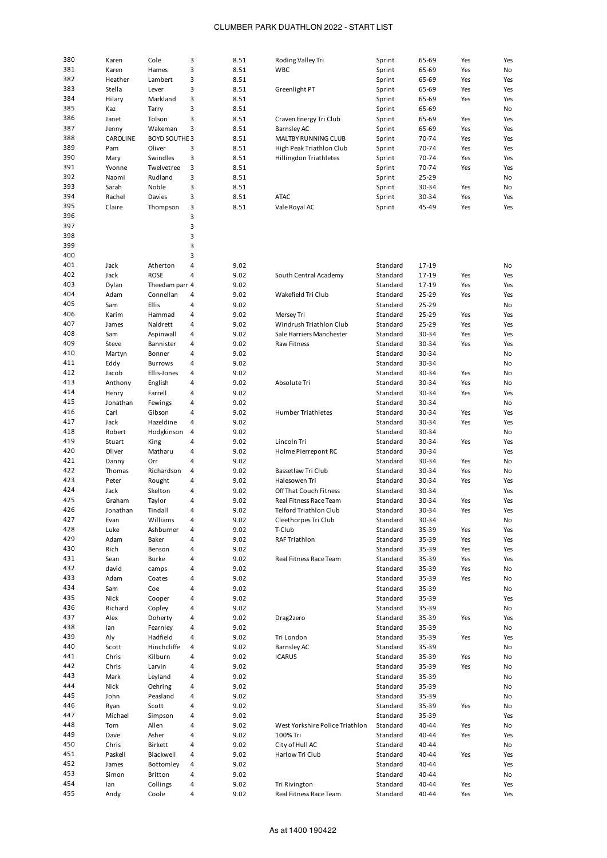| 380 | Karen    | Cole                 | 3              | 8.51 | Roding Valley Tri               | Sprint   | 65-69 | Yes | Yes |
|-----|----------|----------------------|----------------|------|---------------------------------|----------|-------|-----|-----|
| 381 | Karen    | Hames                | 3              | 8.51 | <b>WBC</b>                      | Sprint   | 65-69 | Yes | No  |
| 382 | Heather  | Lambert              | 3              | 8.51 |                                 | Sprint   | 65-69 | Yes | Yes |
| 383 |          | Lever                | 3              | 8.51 | Greenlight PT                   |          |       | Yes | Yes |
|     | Stella   |                      |                |      |                                 | Sprint   | 65-69 |     |     |
| 384 | Hilary   | Markland             | 3              | 8.51 |                                 | Sprint   | 65-69 | Yes | Yes |
| 385 | Kaz      | Tarry                | 3              | 8.51 |                                 | Sprint   | 65-69 |     | No  |
| 386 | Janet    | Tolson               | 3              | 8.51 | Craven Energy Tri Club          | Sprint   | 65-69 | Yes | Yes |
| 387 | Jenny    | Wakeman              | 3              | 8.51 | Barnsley AC                     | Sprint   | 65-69 | Yes | Yes |
| 388 | CAROLINE | <b>BOYD SOUTHE 3</b> |                | 8.51 | MALTBY RUNNING CLUB             | Sprint   | 70-74 | Yes | Yes |
| 389 | Pam      | Oliver               | 3              | 8.51 | High Peak Triathlon Club        | Sprint   | 70-74 | Yes | Yes |
| 390 | Mary     | Swindles             | 3              | 8.51 | Hillingdon Triathletes          | Sprint   | 70-74 | Yes | Yes |
| 391 | Yvonne   | Twelvetree           | 3              | 8.51 |                                 | Sprint   | 70-74 | Yes | Yes |
| 392 |          |                      | 3              |      |                                 |          |       |     |     |
|     | Naomi    | Rudland              |                | 8.51 |                                 | Sprint   | 25-29 |     | No  |
| 393 | Sarah    | Noble                | 3              | 8.51 |                                 | Sprint   | 30-34 | Yes | No  |
| 394 | Rachel   | Davies               | 3              | 8.51 | <b>ATAC</b>                     | Sprint   | 30-34 | Yes | Yes |
| 395 | Claire   | Thompson             | 3              | 8.51 | Vale Royal AC                   | Sprint   | 45-49 | Yes | Yes |
| 396 |          |                      | 3              |      |                                 |          |       |     |     |
| 397 |          |                      | 3              |      |                                 |          |       |     |     |
| 398 |          |                      | 3              |      |                                 |          |       |     |     |
| 399 |          |                      | 3              |      |                                 |          |       |     |     |
| 400 |          |                      | 3              |      |                                 |          |       |     |     |
| 401 | Jack     | Atherton             | 4              | 9.02 |                                 | Standard | 17-19 |     | No  |
| 402 | Jack     | ROSE                 | 4              | 9.02 | South Central Academy           | Standard | 17-19 | Yes | Yes |
| 403 |          |                      |                | 9.02 |                                 | Standard |       | Yes | Yes |
|     | Dylan    | Theedam parr 4       |                |      |                                 |          | 17-19 |     |     |
| 404 | Adam     | Connellan            | 4              | 9.02 | Wakefield Tri Club              | Standard | 25-29 | Yes | Yes |
| 405 | Sam      | Ellis                | $\overline{4}$ | 9.02 |                                 | Standard | 25-29 |     | No  |
| 406 | Karim    | Hammad               | 4              | 9.02 | Mersey Tri                      | Standard | 25-29 | Yes | Yes |
| 407 | James    | Naldrett             | 4              | 9.02 | Windrush Triathlon Club         | Standard | 25-29 | Yes | Yes |
| 408 | Sam      | Aspinwall            | 4              | 9.02 | Sale Harriers Manchester        | Standard | 30-34 | Yes | Yes |
| 409 | Steve    | Bannister            | 4              | 9.02 | Raw Fitness                     | Standard | 30-34 | Yes | Yes |
| 410 | Martyn   | Bonner               | 4              | 9.02 |                                 | Standard | 30-34 |     | No  |
| 411 | Eddy     | <b>Burrows</b>       | 4              | 9.02 |                                 | Standard | 30-34 |     | No  |
| 412 | Jacob    | Ellis-Jones          | 4              | 9.02 |                                 | Standard | 30-34 | Yes | No  |
| 413 |          |                      | 4              |      |                                 |          |       |     |     |
|     | Anthony  | English              |                | 9.02 | Absolute Tri                    | Standard | 30-34 | Yes | No  |
| 414 | Henry    | Farrell              | 4              | 9.02 |                                 | Standard | 30-34 | Yes | Yes |
| 415 | Jonathan | Fewings              | 4              | 9.02 |                                 | Standard | 30-34 |     | No  |
| 416 | Carl     | Gibson               | 4              | 9.02 | <b>Humber Triathletes</b>       | Standard | 30-34 | Yes | Yes |
| 417 | Jack     | Hazeldine            | 4              | 9.02 |                                 | Standard | 30-34 | Yes | Yes |
| 418 | Robert   | Hodgkinson           | 4              | 9.02 |                                 | Standard | 30-34 |     | No  |
| 419 | Stuart   | King                 | 4              | 9.02 | Lincoln Tri                     | Standard | 30-34 | Yes | Yes |
| 420 | Oliver   | Matharu              | 4              | 9.02 | Holme Pierrepont RC             | Standard | 30-34 |     | Yes |
| 421 | Danny    | Orr                  | 4              | 9.02 |                                 | Standard | 30-34 | Yes | No  |
| 422 | Thomas   | Richardson           | $\overline{4}$ | 9.02 | Bassetlaw Tri Club              | Standard | 30-34 | Yes | No  |
| 423 | Peter    |                      | 4              | 9.02 | Halesowen Tri                   | Standard | 30-34 | Yes | Yes |
| 424 |          | Rought               |                |      |                                 |          |       |     |     |
|     | Jack     | Skelton              | 4              | 9.02 | Off That Couch Fitness          | Standard | 30-34 |     | Yes |
| 425 | Graham   | Taylor               | 4              | 9.02 | Real Fitness Race Team          | Standard | 30-34 | Yes | Yes |
| 426 | Jonathan | Tindall              | 4              | 9.02 | Telford Triathlon Club          | Standard | 30-34 | Yes | Yes |
| 427 | Evan     | Williams             | 4              | 9.02 | Cleethorpes Tri Club            | Standard | 30-34 |     | No  |
| 428 | Luke     | Ashburner            | 4              | 9.02 | T-Club                          | Standard | 35-39 | Yes | Yes |
| 429 | Adam     | Baker                | 4              | 9.02 | RAF Triathlon                   | Standard | 35-39 | Yes | Yes |
| 430 | Rich     | Benson               | $\sqrt{4}$     | 9.02 |                                 | Standard | 35-39 | Yes | Yes |
| 431 | Sean     | <b>Burke</b>         | 4              | 9.02 | Real Fitness Race Team          | Standard | 35-39 | Yes | Yes |
| 432 | david    | camps                | 4              | 9.02 |                                 | Standard | 35-39 | Yes | No  |
| 433 | Adam     | Coates               | 4              | 9.02 |                                 | Standard | 35-39 | Yes | No  |
| 434 | Sam      | Coe                  | 4              | 9.02 |                                 | Standard | 35-39 |     | No  |
| 435 |          |                      |                |      |                                 |          |       |     |     |
|     | Nick     | Cooper               | $\sqrt{4}$     | 9.02 |                                 | Standard | 35-39 |     | Yes |
| 436 | Richard  | Copley               | 4              | 9.02 |                                 | Standard | 35-39 |     | No  |
| 437 | Alex     | Doherty              | 4              | 9.02 | Drag2zero                       | Standard | 35-39 | Yes | Yes |
| 438 | lan      | Fearnley             | 4              | 9.02 |                                 | Standard | 35-39 |     | No  |
| 439 | Aly      | Hadfield             | 4              | 9.02 | Tri London                      | Standard | 35-39 | Yes | Yes |
| 440 | Scott    | Hinchcliffe          | $\sqrt{4}$     | 9.02 | <b>Barnsley AC</b>              | Standard | 35-39 |     | No  |
| 441 | Chris    | Kilburn              | 4              | 9.02 | <b>ICARUS</b>                   | Standard | 35-39 | Yes | No  |
| 442 | Chris    | Larvin               | 4              | 9.02 |                                 | Standard | 35-39 | Yes | No  |
| 443 | Mark     | Leyland              | 4              | 9.02 |                                 | Standard | 35-39 |     | No  |
| 444 | Nick     | Oehring              | 4              | 9.02 |                                 | Standard | 35-39 |     | No  |
| 445 | John     | Peasland             | $\sqrt{4}$     | 9.02 |                                 | Standard | 35-39 |     | No  |
| 446 |          |                      | $\sqrt{4}$     |      |                                 |          |       |     |     |
|     | Ryan     | Scott                |                | 9.02 |                                 | Standard | 35-39 | Yes | No  |
| 447 | Michael  | Simpson              | 4              | 9.02 |                                 | Standard | 35-39 |     | Yes |
| 448 | Tom      | Allen                | 4              | 9.02 | West Yorkshire Police Triathlon | Standard | 40-44 | Yes | No  |
| 449 | Dave     | Asher                | 4              | 9.02 | 100% Tri                        | Standard | 40-44 | Yes | Yes |
| 450 | Chris    | Birkett              | $\sqrt{4}$     | 9.02 | City of Hull AC                 | Standard | 40-44 |     | No  |
| 451 | Paskell  | Blackwell            | 4              | 9.02 | Harlow Tri Club                 | Standard | 40-44 | Yes | Yes |
| 452 | James    | Bottomley            | 4              | 9.02 |                                 | Standard | 40-44 |     | Yes |
| 453 | Simon    | Britton              | $\sqrt{4}$     | 9.02 |                                 | Standard | 40-44 |     | No  |
| 454 | lan      | Collings             | 4              | 9.02 | Tri Rivington                   | Standard | 40-44 | Yes | Yes |
| 455 | Andy     | Coole                | 4              | 9.02 | Real Fitness Race Team          | Standard | 40-44 | Yes | Yes |
|     |          |                      |                |      |                                 |          |       |     |     |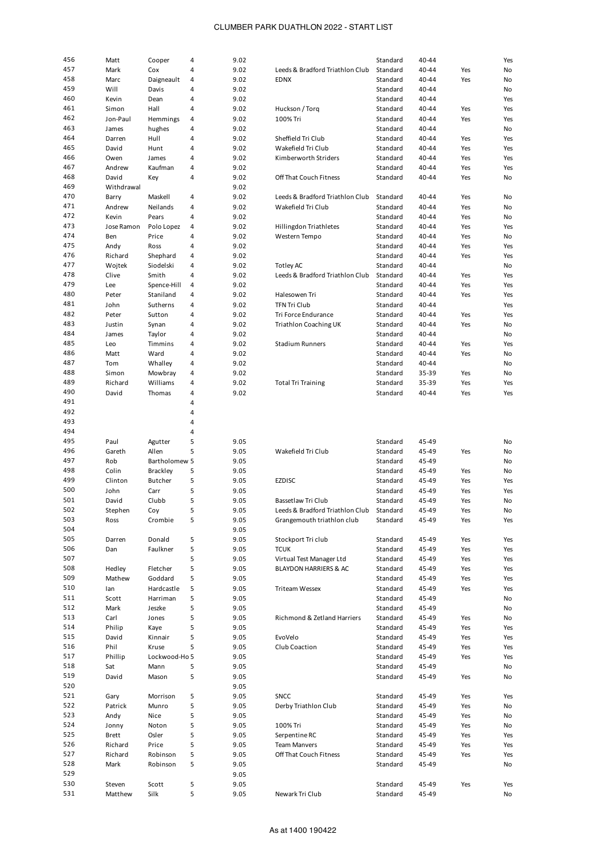| 456        | Matt       | Cooper          | 4      | 9.02 |                                 | Standard | 40-44 |     | Yes |
|------------|------------|-----------------|--------|------|---------------------------------|----------|-------|-----|-----|
| 457        | Mark       | Cox             | 4      | 9.02 | Leeds & Bradford Triathlon Club | Standard | 40-44 | Yes | No  |
| 458        |            |                 |        |      |                                 |          |       |     |     |
|            | Marc       | Daigneault      | 4      | 9.02 | <b>EDNX</b>                     | Standard | 40-44 | Yes | No  |
| 459        | Will       | Davis           | 4      | 9.02 |                                 | Standard | 40-44 |     | No  |
| 460        | Kevin      | Dean            | 4      | 9.02 |                                 | Standard | 40-44 |     | Yes |
| 461        | Simon      | Hall            | 4      | 9.02 | Huckson / Torq                  | Standard | 40-44 | Yes | Yes |
| 462        | Jon-Paul   | Hemmings        | 4      | 9.02 | 100% Tri                        | Standard | 40-44 | Yes | Yes |
| 463        |            |                 | 4      | 9.02 |                                 | Standard | 40-44 |     | No  |
|            | James      | hughes          |        |      |                                 |          |       |     |     |
| 464        | Darren     | Hull            | 4      | 9.02 | Sheffield Tri Club              | Standard | 40-44 | Yes | Yes |
| 465        | David      | Hunt            | 4      | 9.02 | Wakefield Tri Club              | Standard | 40-44 | Yes | Yes |
| 466        | Owen       | James           | 4      | 9.02 | Kimberworth Striders            | Standard | 40-44 | Yes | Yes |
| 467        | Andrew     | Kaufman         | 4      | 9.02 |                                 | Standard | 40-44 | Yes | Yes |
| 468        | David      | Key             | 4      | 9.02 | Off That Couch Fitness          | Standard | 40-44 | Yes | No  |
|            |            |                 |        |      |                                 |          |       |     |     |
| 469        | Withdrawal |                 |        | 9.02 |                                 |          |       |     |     |
| 470        | Barry      | Maskell         | 4      | 9.02 | Leeds & Bradford Triathlon Club | Standard | 40-44 | Yes | No  |
| 471        | Andrew     | Neilands        | 4      | 9.02 | Wakefield Tri Club              | Standard | 40-44 | Yes | No  |
| 472        | Kevin      | Pears           | 4      | 9.02 |                                 | Standard | 40-44 | Yes | No  |
| 473        | Jose Ramon | Polo Lopez      | 4      | 9.02 | Hillingdon Triathletes          | Standard | 40-44 | Yes | Yes |
| 474        |            |                 | 4      |      |                                 |          |       |     |     |
|            | Ben        | Price           |        | 9.02 | Western Tempo                   | Standard | 40-44 | Yes | No  |
| 475        | Andy       | Ross            | 4      | 9.02 |                                 | Standard | 40-44 | Yes | Yes |
| 476        | Richard    | Shephard        | 4      | 9.02 |                                 | Standard | 40-44 | Yes | Yes |
| 477        | Wojtek     | Siodelski       | 4      | 9.02 | <b>Totley AC</b>                | Standard | 40-44 |     | No  |
| 478        | Clive      | Smith           | 4      | 9.02 | Leeds & Bradford Triathlon Club | Standard | 40-44 | Yes | Yes |
| 479        | Lee        | Spence-Hill     | 4      | 9.02 |                                 | Standard | 40-44 | Yes | Yes |
|            |            |                 |        |      |                                 |          |       |     |     |
| 480        | Peter      | Staniland       | 4      | 9.02 | Halesowen Tri                   | Standard | 40-44 | Yes | Yes |
| 481        | John       | Sutherns        | 4      | 9.02 | <b>TFN Tri Club</b>             | Standard | 40-44 |     | Yes |
| 482        | Peter      | Sutton          | 4      | 9.02 | Tri Force Endurance             | Standard | 40-44 | Yes | Yes |
| 483        | Justin     | Synan           | 4      | 9.02 | Triathlon Coaching UK           | Standard | 40-44 | Yes | No  |
| 484        | James      | Taylor          | 4      | 9.02 |                                 | Standard | 40-44 |     | No  |
|            |            |                 |        |      |                                 |          |       |     |     |
| 485        | Leo        | Timmins         | 4      | 9.02 | <b>Stadium Runners</b>          | Standard | 40-44 | Yes | Yes |
| 486        | Matt       | Ward            | 4      | 9.02 |                                 | Standard | 40-44 | Yes | No  |
| 487        | Tom        | Whalley         | 4      | 9.02 |                                 | Standard | 40-44 |     | No  |
| 488        | Simon      | Mowbray         | 4      | 9.02 |                                 | Standard | 35-39 | Yes | No  |
| 489        | Richard    | Williams        | 4      | 9.02 | <b>Total Tri Training</b>       | Standard | 35-39 | Yes | Yes |
|            |            |                 |        |      |                                 |          |       |     |     |
| 490        | David      | Thomas          | 4      | 9.02 |                                 | Standard | 40-44 | Yes | Yes |
| 491        |            |                 | 4      |      |                                 |          |       |     |     |
| 492        |            |                 | 4      |      |                                 |          |       |     |     |
|            |            |                 |        |      |                                 |          |       |     |     |
| 493        |            |                 | 4      |      |                                 |          |       |     |     |
|            |            |                 |        |      |                                 |          |       |     |     |
| 494        |            |                 | 4      |      |                                 |          |       |     |     |
| 495        | Paul       | Agutter         | 5      | 9.05 |                                 | Standard | 45-49 |     | No  |
| 496        | Gareth     | Allen           | 5      | 9.05 | Wakefield Tri Club              | Standard | 45-49 | Yes | No  |
| 497        | Rob        | Bartholomew 5   |        | 9.05 |                                 | Standard | 45-49 |     | No  |
| 498        | Colin      | <b>Brackley</b> | 5      | 9.05 |                                 | Standard | 45-49 | Yes | No  |
| 499        | Clinton    | <b>Butcher</b>  |        |      |                                 |          |       |     |     |
|            |            |                 | 5      | 9.05 | <b>EZDISC</b>                   | Standard | 45-49 | Yes | Yes |
| 500        | John       | Carr            | 5      | 9.05 |                                 | Standard | 45-49 | Yes | Yes |
| 501        | David      | Clubb           | 5      | 9.05 | Bassetlaw Tri Club              | Standard | 45-49 | Yes | No  |
| 502        | Stephen    | Coy             | 5      | 9.05 | Leeds & Bradford Triathlon Club | Standard | 45-49 | Yes | No  |
| 503        | Ross       | Crombie         | 5      | 9.05 | Grangemouth triathlon club      | Standard | 45-49 | Yes | Yes |
| 504        |            |                 |        |      |                                 |          |       |     |     |
|            |            |                 |        | 9.05 |                                 |          |       |     |     |
| 505        | Darren     | Donald          | 5      | 9.05 | Stockport Tri club              | Standard | 45-49 | Yes | Yes |
| 506        | Dan        | Faulkner        | 5      | 9.05 | <b>TCUK</b>                     | Standard | 45-49 | Yes | Yes |
| 507        |            |                 | 5      | 9.05 | Virtual Test Manager Ltd        | Standard | 45-49 | Yes | Yes |
| 508        | Hedley     | Fletcher        | 5      | 9.05 | BLAYDON HARRIERS & AC           | Standard | 45-49 | Yes | Yes |
| 509        | Mathew     | Goddard         | 5      | 9.05 |                                 | Standard | 45-49 | Yes | Yes |
| 510        |            |                 |        |      |                                 |          |       |     |     |
|            | lan        | Hardcastle      | 5      | 9.05 | Triteam Wessex                  | Standard | 45-49 | Yes | Yes |
| 511        | Scott      | Harriman        | 5      | 9.05 |                                 | Standard | 45-49 |     | No  |
| 512        | Mark       | Jeszke          | 5      | 9.05 |                                 | Standard | 45-49 |     | No  |
| 513        | Carl       | Jones           | 5      | 9.05 | Richmond & Zetland Harriers     | Standard | 45-49 | Yes | No  |
| 514        | Philip     | Kaye            | 5      | 9.05 |                                 | Standard | 45-49 | Yes | Yes |
| 515        | David      | Kinnair         | 5      | 9.05 | EvoVelo                         | Standard | 45-49 | Yes | Yes |
|            |            |                 |        |      |                                 |          |       |     |     |
| 516        | Phil       | Kruse           | 5      | 9.05 | Club Coaction                   | Standard | 45-49 | Yes | Yes |
| 517        | Phillip    | Lockwood-Ho 5   |        | 9.05 |                                 | Standard | 45-49 | Yes | Yes |
| 518        | Sat        | Mann            | 5      | 9.05 |                                 | Standard | 45-49 |     | No  |
| 519        | David      | Mason           | 5      | 9.05 |                                 | Standard | 45-49 | Yes | No  |
| 520        |            |                 |        | 9.05 |                                 |          |       |     |     |
| 521        |            |                 |        |      |                                 |          |       |     |     |
|            | Gary       | Morrison        | 5      | 9.05 | <b>SNCC</b>                     | Standard | 45-49 | Yes | Yes |
| 522        | Patrick    | Munro           | 5      | 9.05 | Derby Triathlon Club            | Standard | 45-49 | Yes | No  |
| 523        | Andy       | Nice            | 5      | 9.05 |                                 | Standard | 45-49 | Yes | No  |
| 524        | Jonny      | Noton           | 5      | 9.05 | 100% Tri                        | Standard | 45-49 | Yes | No  |
| 525        | Brett      | Osler           | 5      | 9.05 | Serpentine RC                   | Standard | 45-49 | Yes | Yes |
| 526        | Richard    | Price           | 5      | 9.05 | <b>Team Manvers</b>             | Standard | 45-49 | Yes | Yes |
|            |            |                 |        |      |                                 |          |       |     |     |
| 527        | Richard    | Robinson        | 5      | 9.05 | Off That Couch Fitness          | Standard | 45-49 | Yes | Yes |
| 528        | Mark       | Robinson        | 5      | 9.05 |                                 | Standard | 45-49 |     | No  |
| 529        |            |                 |        | 9.05 |                                 |          |       |     |     |
| 530<br>531 | Steven     | Scott           | 5<br>5 | 9.05 |                                 | Standard | 45-49 | Yes | Yes |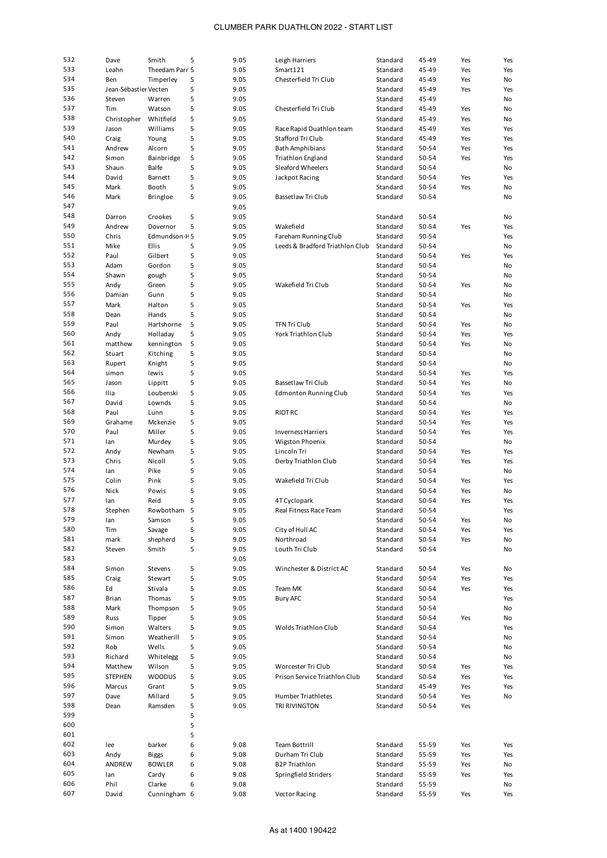| 532 | Dave                  | Smith           | 5 | 9.05 | Leigh Harriers                  | Standard | 45-49 | Yes | Yes       |
|-----|-----------------------|-----------------|---|------|---------------------------------|----------|-------|-----|-----------|
| 533 | Leahn                 | Theedam Parr 5  |   | 9.05 | Smart121                        | Standard | 45-49 | Yes | Yes       |
| 534 | Ben                   | Timperley       | 5 | 9.05 | Chesterfield Tri Club           | Standard | 45-49 | Yes | No        |
| 535 | Jean-Sébastier Vecten |                 | 5 | 9.05 |                                 | Standard | 45-49 | Yes | Yes       |
| 536 | Steven                | Warren          | 5 | 9.05 |                                 | Standard | 45-49 |     | No        |
|     |                       |                 |   |      |                                 |          |       |     |           |
| 537 | Tim                   | Watson          | 5 | 9.05 | Chesterfield Tri Club           | Standard | 45-49 | Yes | No        |
| 538 | Christopher           | Whitfield       | 5 | 9.05 |                                 | Standard | 45-49 | Yes | No        |
| 539 | Jason                 | Williams        | 5 | 9.05 | Race Rapid Duathlon team        | Standard | 45-49 | Yes | Yes       |
| 540 | Craig                 | Young           | 5 | 9.05 | Stafford Tri Club               | Standard | 45-49 | Yes | Yes       |
| 541 | Andrew                | Alcorn          | 5 | 9.05 | <b>Bath Amphibians</b>          | Standard | 50-54 | Yes | Yes       |
| 542 | Simon                 | Bainbridge      | 5 | 9.05 | <b>Triathlon England</b>        | Standard | 50-54 | Yes | Yes       |
| 543 | Shaun                 | <b>Balfe</b>    | 5 | 9.05 | Sleaford Wheelers               | Standard | 50-54 |     | No        |
|     |                       |                 |   |      |                                 |          |       |     |           |
| 544 | David                 | Barnett         | 5 | 9.05 | Jackpot Racing                  | Standard | 50-54 | Yes | Yes       |
| 545 | Mark                  | Booth           | 5 | 9.05 |                                 | Standard | 50-54 | Yes | No        |
| 546 | Mark                  | <b>Bringloe</b> | 5 | 9.05 | Bassetlaw Tri Club              | Standard | 50-54 |     | No        |
| 547 |                       |                 |   | 9.05 |                                 |          |       |     |           |
| 548 | Darron                | Crookes         | 5 | 9.05 |                                 | Standard | 50-54 |     | No        |
| 549 | Andrew                | Dovernor        | 5 | 9.05 | Wakefield                       | Standard | 50-54 | Yes | Yes       |
| 550 |                       |                 |   |      |                                 |          |       |     |           |
|     | Chris                 | Edmundson-H5    |   | 9.05 | Fareham Running Club            | Standard | 50-54 |     | Yes       |
| 551 | Mike                  | Ellis           | 5 | 9.05 | Leeds & Bradford Triathlon Club | Standard | 50-54 |     | No        |
| 552 | Paul                  | Gilbert         | 5 | 9.05 |                                 | Standard | 50-54 | Yes | Yes       |
| 553 | Adam                  | Gordon          | 5 | 9.05 |                                 | Standard | 50-54 |     | No        |
| 554 | Shawn                 | gough           | 5 | 9.05 |                                 | Standard | 50-54 |     | No        |
| 555 | Andy                  | Green           | 5 | 9.05 | Wakefield Tri Club              | Standard | 50-54 | Yes | No        |
| 556 |                       |                 |   |      |                                 |          |       |     |           |
|     | Damian                | Gunn            | 5 | 9.05 |                                 | Standard | 50-54 |     | <b>No</b> |
| 557 | Mark                  | Halton          | 5 | 9.05 |                                 | Standard | 50-54 | Yes | Yes       |
| 558 | Dean                  | Hands           | 5 | 9.05 |                                 | Standard | 50-54 |     | No        |
| 559 | Paul                  | Hartshorne      | 5 | 9.05 | <b>TFN Tri Club</b>             | Standard | 50-54 | Yes | No        |
| 560 | Andy                  | Holladay        | 5 | 9.05 | <b>York Triathlon Club</b>      | Standard | 50-54 | Yes | Yes       |
| 561 | matthew               | kennington      | 5 | 9.05 |                                 | Standard | 50-54 | Yes | <b>No</b> |
| 562 |                       |                 |   |      |                                 |          |       |     |           |
|     | Stuart                | Kitching        | 5 | 9.05 |                                 | Standard | 50-54 |     | No        |
| 563 | Rupert                | Knight          | 5 | 9.05 |                                 | Standard | 50-54 |     | No        |
| 564 | simon                 | lewis           | 5 | 9.05 |                                 | Standard | 50-54 | Yes | Yes       |
| 565 | Jason                 | Lippitt         | 5 | 9.05 | Bassetlaw Tri Club              | Standard | 50-54 | Yes | No        |
| 566 | Ilia                  | Loubenski       | 5 | 9.05 | <b>Edmonton Running Club</b>    | Standard | 50-54 | Yes | Yes       |
| 567 | David                 | Lownds          | 5 | 9.05 |                                 | Standard | 50-54 |     | No        |
|     |                       |                 |   |      |                                 |          |       |     |           |
| 568 | Paul                  | Lunn            | 5 | 9.05 | <b>RIOT RC</b>                  | Standard | 50-54 | Yes | Yes       |
| 569 | Grahame               | Mckenzie        | 5 | 9.05 |                                 | Standard | 50-54 | Yes | Yes       |
| 570 | Paul                  | Miller          | 5 | 9.05 | <b>Inverness Harriers</b>       | Standard | 50-54 | Yes | Yes       |
| 571 | lan                   | Murdey          | 5 | 9.05 | Wigston Phoenix                 | Standard | 50-54 |     | No        |
| 572 | Andy                  | Newham          | 5 | 9.05 | Lincoln Tri                     | Standard | 50-54 | Yes | Yes       |
| 573 | Chris                 | Nicoll          | 5 | 9.05 | Derby Triathlon Club            | Standard | 50-54 | Yes | Yes       |
| 574 |                       |                 |   |      |                                 |          |       |     |           |
|     | lan                   | Pike            | 5 | 9.05 |                                 | Standard | 50-54 |     | No        |
| 575 | Colin                 | Pink            | 5 | 9.05 | Wakefield Tri Club              | Standard | 50-54 | Yes | Yes       |
| 576 | Nick                  | Powis           | 5 | 9.05 |                                 | Standard | 50-54 | Yes | No        |
| 577 | lan                   | Reid            | 5 | 9.05 | 4T Cyclopark                    | Standard | 50-54 | Yes | Yes       |
| 578 | Stephen               | Rowbotham       | 5 | 9.05 | Real Fitness Race Team          | Standard | 50-54 |     | Yes       |
| 579 | lan                   | Samson          | 5 | 9.05 |                                 | Standard | 50-54 | Yes | No        |
| 580 | Tim                   | Savage          | 5 | 9.05 | City of Hull AC                 | Standard | 50-54 | Yes | Yes       |
|     |                       |                 |   |      |                                 |          |       |     |           |
| 581 | mark                  | shepherd        | 5 | 9.05 | Northroad                       | Standard | 50-54 | Yes | No        |
| 582 | Steven                | Smith           | 5 | 9.05 | Louth Tri Club                  | Standard | 50-54 |     | No        |
| 583 |                       |                 |   | 9.05 |                                 |          |       |     |           |
| 584 | Simon                 | Stevens         | 5 | 9.05 | Winchester & District AC        | Standard | 50-54 | Yes | No        |
| 585 | Craig                 | Stewart         | 5 | 9.05 |                                 | Standard | 50-54 | Yes | Yes       |
| 586 | Ed                    | Stivala         | 5 | 9.05 | Team MK                         | Standard | 50-54 | Yes | Yes       |
| 587 |                       | Thomas          | 5 | 9.05 | <b>Bury AFC</b>                 |          |       |     |           |
|     | Brian                 |                 |   |      |                                 | Standard | 50-54 |     | Yes       |
| 588 | Mark                  | Thompson        | 5 | 9.05 |                                 | Standard | 50-54 |     | No        |
| 589 | Russ                  | Tipper          | 5 | 9.05 |                                 | Standard | 50-54 | Yes | No        |
| 590 | Simon                 | Walters         | 5 | 9.05 | Wolds Triathlon Club            | Standard | 50-54 |     | Yes       |
| 591 | Simon                 | Weatherill      | 5 | 9.05 |                                 | Standard | 50-54 |     | No        |
| 592 | Rob                   | Wells           | 5 | 9.05 |                                 | Standard | 50-54 |     | No        |
| 593 | Richard               | Whitelegg       | 5 | 9.05 |                                 | Standard | 50-54 |     | No        |
| 594 |                       |                 |   |      |                                 |          |       |     |           |
|     | Matthew               | Wilson          | 5 | 9.05 | Worcester Tri Club              | Standard | 50-54 | Yes | Yes       |
| 595 | <b>STEPHEN</b>        | WOODUS          | 5 | 9.05 | Prison Service Triathlon Club   | Standard | 50-54 | Yes | Yes       |
| 596 | Marcus                | Grant           | 5 | 9.05 |                                 | Standard | 45-49 | Yes | Yes       |
| 597 | Dave                  | Millard         | 5 | 9.05 | Humber Triathletes              | Standard | 50-54 | Yes | No        |
| 598 | Dean                  | Ramsden         | 5 | 9.05 | TRI RIVINGTON                   | Standard | 50-54 | Yes |           |
| 599 |                       |                 | 5 |      |                                 |          |       |     |           |
| 600 |                       |                 | 5 |      |                                 |          |       |     |           |
|     |                       |                 |   |      |                                 |          |       |     |           |
| 601 |                       |                 | 5 |      |                                 |          |       |     |           |
| 602 | lee                   | barker          | 6 | 9.08 | Team Bottrill                   | Standard | 55-59 | Yes | Yes       |
| 603 | Andy                  | <b>Biggs</b>    | 6 | 9.08 | Durham Tri Club                 | Standard | 55-59 | Yes | Yes       |
| 604 | ANDREW                | <b>BOWLER</b>   | 6 | 9.08 | <b>B2P Triathlon</b>            | Standard | 55-59 | Yes | No        |
| 605 | lan                   | Cardy           | 6 | 9.08 | Springfield Striders            | Standard | 55-59 | Yes | Yes       |
| 606 | Phil                  | Clarke          | 6 | 9.08 |                                 | Standard | 55-59 |     | No        |
| 607 |                       |                 |   |      |                                 |          |       |     |           |
|     | David                 | Cunningham 6    |   | 9.08 | <b>Vector Racing</b>            | Standard | 55-59 | Yes | Yes       |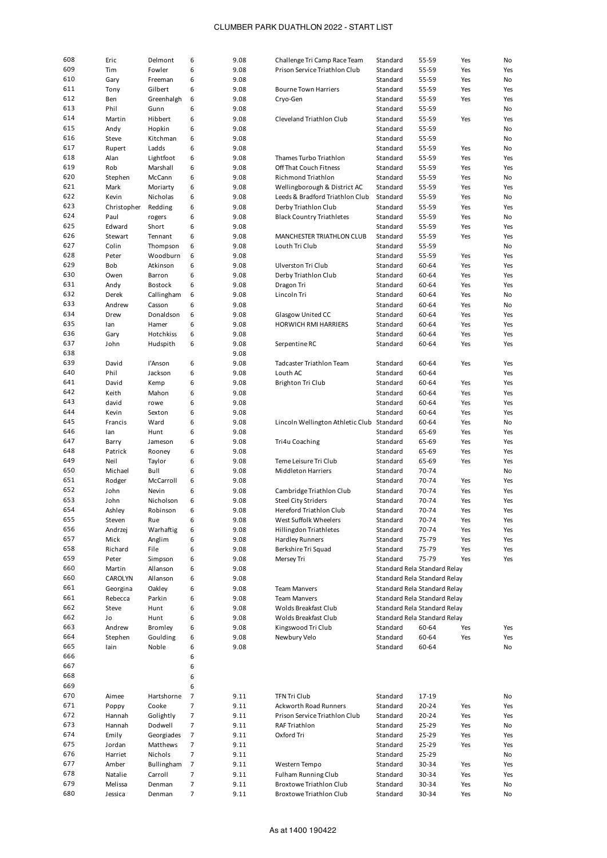| 608 | Eric        | Delmont    | 6              | 9.08 | Challenge Tri Camp Race Team              | Standard | 55-59                        | Yes | No  |
|-----|-------------|------------|----------------|------|-------------------------------------------|----------|------------------------------|-----|-----|
| 609 | Tim         | Fowler     | 6              | 9.08 | Prison Service Triathlon Club             | Standard | 55-59                        | Yes | Yes |
| 610 | Gary        | Freeman    | 6              | 9.08 |                                           | Standard | 55-59                        | Yes | No  |
| 611 | Tony        | Gilbert    | 6              | 9.08 | <b>Bourne Town Harriers</b>               | Standard | 55-59                        | Yes | Yes |
| 612 | Ben         | Greenhalgh | 6              | 9.08 | Cryo-Gen                                  | Standard | 55-59                        | Yes | Yes |
| 613 |             |            |                |      |                                           |          |                              |     |     |
|     | Phil        | Gunn       | 6              | 9.08 |                                           | Standard | 55-59                        |     | No  |
| 614 | Martin      | Hibbert    | 6              | 9.08 | Cleveland Triathlon Club                  | Standard | 55-59                        | Yes | Yes |
| 615 | Andy        | Hopkin     | 6              | 9.08 |                                           | Standard | 55-59                        |     | No  |
| 616 | Steve       | Kitchman   | 6              | 9.08 |                                           | Standard | 55-59                        |     | No  |
| 617 | Rupert      | Ladds      | 6              | 9.08 |                                           | Standard | 55-59                        | Yes | No  |
| 618 | Alan        | Lightfoot  | 6              | 9.08 | Thames Turbo Triathlon                    | Standard | 55-59                        | Yes | Yes |
| 619 | Rob         | Marshall   | 6              | 9.08 | Off That Couch Fitness                    | Standard | 55-59                        | Yes | Yes |
| 620 | Stephen     | McCann     | 6              | 9.08 | <b>Richmond Triathlon</b>                 | Standard | 55-59                        | Yes | No  |
| 621 |             |            |                |      |                                           |          |                              |     |     |
|     | Mark        | Moriarty   | 6              | 9.08 | Wellingborough & District AC              | Standard | 55-59                        | Yes | Yes |
| 622 | Kevin       | Nicholas   | 6              | 9.08 | Leeds & Bradford Triathlon Club           | Standard | 55-59                        | Yes | No  |
| 623 | Christopher | Redding    | 6              | 9.08 | Derby Triathlon Club                      | Standard | 55-59                        | Yes | Yes |
| 624 | Paul        | rogers     | 6              | 9.08 | <b>Black Country Triathletes</b>          | Standard | 55-59                        | Yes | No  |
| 625 | Edward      | Short      | 6              | 9.08 |                                           | Standard | 55-59                        | Yes | Yes |
| 626 | Stewart     | Tennant    | 6              | 9.08 | MANCHESTER TRIATHLON CLUB                 | Standard | 55-59                        | Yes | Yes |
| 627 | Colin       | Thompson   | 6              | 9.08 | Louth Tri Club                            | Standard | 55-59                        |     | No  |
| 628 | Peter       | Woodburn   | 6              | 9.08 |                                           | Standard | 55-59                        | Yes | Yes |
|     |             |            |                |      |                                           |          |                              |     |     |
| 629 | Bob         | Atkinson   | 6              | 9.08 | Ulverston Tri Club                        | Standard | 60-64                        | Yes | Yes |
| 630 | Owen        | Barron     | 6              | 9.08 | Derby Triathlon Club                      | Standard | 60-64                        | Yes | Yes |
| 631 | Andy        | Bostock    | 6              | 9.08 | Dragon Tri                                | Standard | 60-64                        | Yes | Yes |
| 632 | Derek       | Callingham | 6              | 9.08 | Lincoln Tri                               | Standard | 60-64                        | Yes | No  |
| 633 | Andrew      | Casson     | 6              | 9.08 |                                           | Standard | 60-64                        | Yes | No  |
| 634 | Drew        | Donaldson  | 6              | 9.08 | Glasgow United CC                         | Standard | 60-64                        | Yes | Yes |
| 635 | lan         | Hamer      | 6              | 9.08 | <b>HORWICH RMI HARRIERS</b>               | Standard | 60-64                        | Yes | Yes |
| 636 | Gary        | Hotchkiss  | 6              | 9.08 |                                           | Standard | 60-64                        | Yes | Yes |
|     |             |            |                |      |                                           |          |                              |     |     |
| 637 | John        | Hudspith   | 6              | 9.08 | Serpentine RC                             | Standard | 60-64                        | Yes | Yes |
| 638 |             |            |                | 9.08 |                                           |          |                              |     |     |
| 639 | David       | l'Anson    | 6              | 9.08 | <b>Tadcaster Triathlon Team</b>           | Standard | 60-64                        | Yes | Yes |
| 640 | Phil        | Jackson    | 6              | 9.08 | Louth AC                                  | Standard | 60-64                        |     | Yes |
| 641 | David       | Kemp       | 6              | 9.08 | Brighton Tri Club                         | Standard | 60-64                        | Yes | Yes |
| 642 | Keith       | Mahon      | 6              | 9.08 |                                           | Standard | 60-64                        | Yes | Yes |
| 643 | david       | rowe       | 6              | 9.08 |                                           | Standard | 60-64                        | Yes | Yes |
| 644 | Kevin       | Sexton     | 6              | 9.08 |                                           | Standard | 60-64                        | Yes | Yes |
| 645 |             |            |                |      |                                           |          |                              |     |     |
|     | Francis     | Ward       | 6              | 9.08 | Lincoln Wellington Athletic Club Standard |          | 60-64                        | Yes | No  |
| 646 | lan         | Hunt       | 6              | 9.08 |                                           | Standard | 65-69                        | Yes | Yes |
| 647 | Barry       | Jameson    | 6              | 9.08 | Tri4u Coaching                            | Standard | 65-69                        | Yes | Yes |
| 648 | Patrick     | Rooney     | 6              | 9.08 |                                           | Standard | 65-69                        | Yes | Yes |
| 649 | Neil        | Taylor     | 6              | 9.08 | Teme Leisure Tri Club                     | Standard | 65-69                        | Yes | Yes |
| 650 | Michael     | Bull       | 6              | 9.08 | <b>Middleton Harriers</b>                 | Standard | 70-74                        |     | No  |
| 651 | Rodger      | McCarroll  | 6              | 9.08 |                                           | Standard | 70-74                        | Yes | Yes |
| 652 | John        | Nevin      | 6              | 9.08 | Cambridge Triathlon Club                  | Standard | 70-74                        | Yes | Yes |
| 653 |             | Nicholson  |                |      |                                           |          |                              |     |     |
|     | John        |            | 6              | 9.08 | <b>Steel City Striders</b>                | Standard | 70-74                        | Yes | Yes |
| 654 | Ashley      | Robinson   | 6              | 9.08 | Hereford Triathlon Club                   | Standard | 70-74                        | Yes | Yes |
| 655 | Steven      | Rue        | 6              | 9.08 | West Suffolk Wheelers                     | Standard | 70-74                        | Yes | Yes |
| 656 | Andrzej     | Warhaftig  | 6              | 9.08 | Hillingdon Triathletes                    | Standard | 70-74                        | Yes | Yes |
| 657 | Mick        | Anglim     | 6              | 9.08 | <b>Hardley Runners</b>                    | Standard | 75-79                        | Yes | Yes |
| 658 | Richard     | File       | 6              | 9.08 | Berkshire Tri Squad                       | Standard | 75-79                        | Yes | Yes |
| 659 | Peter       | Simpson    | 6              | 9.08 | Mersey Tri                                | Standard | 75-79                        | Yes | Yes |
| 660 | Martin      | Allanson   | 6              | 9.08 |                                           |          | Standard Rela Standard Relay |     |     |
| 660 | CAROLYN     | Allanson   |                |      |                                           |          |                              |     |     |
|     |             |            | 6              | 9.08 |                                           |          | Standard Rela Standard Relay |     |     |
| 661 | Georgina    | Oakley     | 6              | 9.08 | <b>Team Manvers</b>                       |          | Standard Rela Standard Relay |     |     |
| 661 | Rebecca     | Parkin     | 6              | 9.08 | <b>Team Manvers</b>                       |          | Standard Rela Standard Relay |     |     |
| 662 | Steve       | Hunt       | 6              |      |                                           |          | Standard Rela Standard Relay |     |     |
| 662 |             |            |                | 9.08 | Wolds Breakfast Club                      |          |                              |     |     |
| 663 | Jo          | Hunt       | 6              | 9.08 | Wolds Breakfast Club                      |          | Standard Rela Standard Relay |     |     |
| 664 | Andrew      | Bromley    | 6              | 9.08 | Kingswood Tri Club                        | Standard | 60-64                        | Yes | Yes |
|     |             |            |                |      |                                           |          |                              |     |     |
|     | Stephen     | Goulding   | 6              | 9.08 | Newbury Velo                              | Standard | 60-64                        | Yes | Yes |
| 665 | lain        | Noble      | 6              | 9.08 |                                           | Standard | 60-64                        |     | No  |
| 666 |             |            | 6              |      |                                           |          |                              |     |     |
| 667 |             |            | 6              |      |                                           |          |                              |     |     |
| 668 |             |            | 6              |      |                                           |          |                              |     |     |
| 669 |             |            | 6              |      |                                           |          |                              |     |     |
| 670 | Aimee       | Hartshorne | 7              | 9.11 | <b>TFN Tri Club</b>                       | Standard | 17-19                        |     | No  |
| 671 | Poppy       | Cooke      | 7              | 9.11 | <b>Ackworth Road Runners</b>              | Standard | 20-24                        | Yes | Yes |
|     |             |            |                |      |                                           |          |                              |     |     |
| 672 | Hannah      | Golightly  | 7              | 9.11 | Prison Service Triathlon Club             | Standard | 20-24                        | Yes | Yes |
| 673 | Hannah      | Dodwell    | $\overline{7}$ | 9.11 | <b>RAF Triathlon</b>                      | Standard | 25-29                        | Yes | No  |
| 674 | Emily       | Georgiades | $\overline{7}$ | 9.11 | Oxford Tri                                | Standard | 25-29                        | Yes | Yes |
| 675 | Jordan      | Matthews   | $\overline{7}$ | 9.11 |                                           | Standard | 25-29                        | Yes | Yes |
| 676 | Harriet     | Nichols    | 7              | 9.11 |                                           | Standard | 25-29                        |     | No  |
| 677 | Amber       | Bullingham | 7              | 9.11 | Western Tempo                             | Standard | 30-34                        | Yes | Yes |
| 678 | Natalie     | Carroll    | 7              | 9.11 | <b>Fulham Running Club</b>                | Standard | 30-34                        | Yes | Yes |
| 679 | Melissa     | Denman     | 7              | 9.11 | Broxtowe Triathlon Club                   | Standard | 30-34                        | Yes | No  |